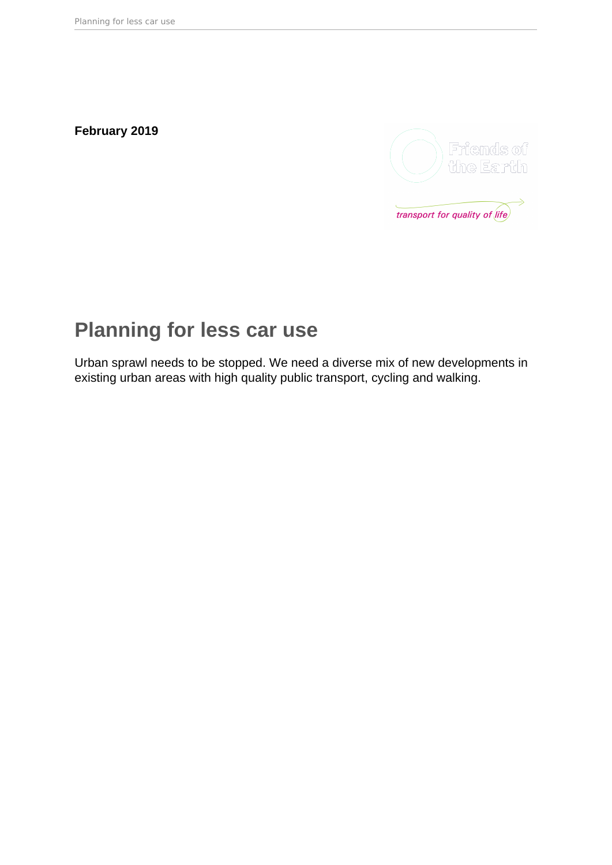**February 2019**



# **Planning for less car use**

Urban sprawl needs to be stopped. We need a diverse mix of new developments in existing urban areas with high quality public transport, cycling and walking.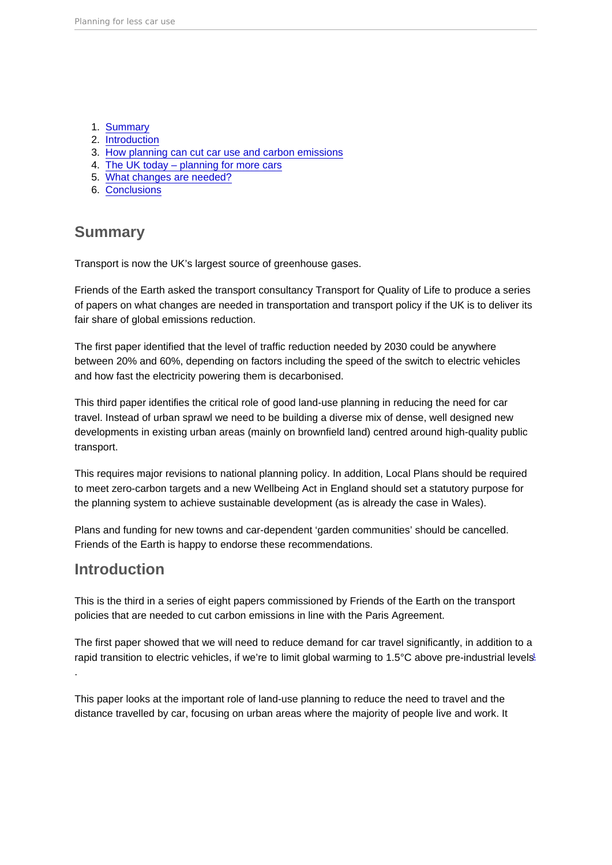- <span id="page-1-0"></span>1. Summary
- 2. Introduction
- 3. [How planning can cut car use and carbon emissions](#page-2-0)
- 4. [The UK today planning for more cars](#page-5-0)
- 5. [What changes are needed?](#page-8-0)
- 6. [Conclusions](#page-11-0)

# **Summary**

Transport is now the UK's largest source of greenhouse gases.

Friends of the Earth asked the transport consultancy Transport for Quality of Life to produce a series of papers on what changes are needed in transportation and transport policy if the UK is to deliver its fair share of global emissions reduction.

The first paper identified that the level of traffic reduction needed by 2030 could be anywhere between 20% and 60%, depending on factors including the speed of the switch to electric vehicles and how fast the electricity powering them is decarbonised.

This third paper identifies the critical role of good land-use planning in reducing the need for car travel. Instead of urban sprawl we need to be building a diverse mix of dense, well designed new developments in existing urban areas (mainly on brownfield land) centred around high-quality public transport.

This requires major revisions to national planning policy. In addition, Local Plans should be required to meet zero-carbon targets and a new Wellbeing Act in England should set a statutory purpose for the planning system to achieve sustainable development (as is already the case in Wales).

Plans and funding for new towns and car-dependent 'garden communities' should be cancelled. Friends of the Earth is happy to endorse these recommendations.

# Introduction

This is the third in a series of eight papers commissioned by Friends of the Earth on the transport policies that are needed to cut carbon emissions in line with the Paris Agreement.

The first paper showed that we will need to reduce demand for car travel significantly, in addition to a rapid transition to electric vehicles, if we're to limit global warming to [1](#page-13-0).5°C above pre-industrial levels<sup>1</sup> .

This paper looks at the important role of land-use planning to reduce the need to travel and the distance travelled by car, focusing on urban areas where the majority of people live and work. It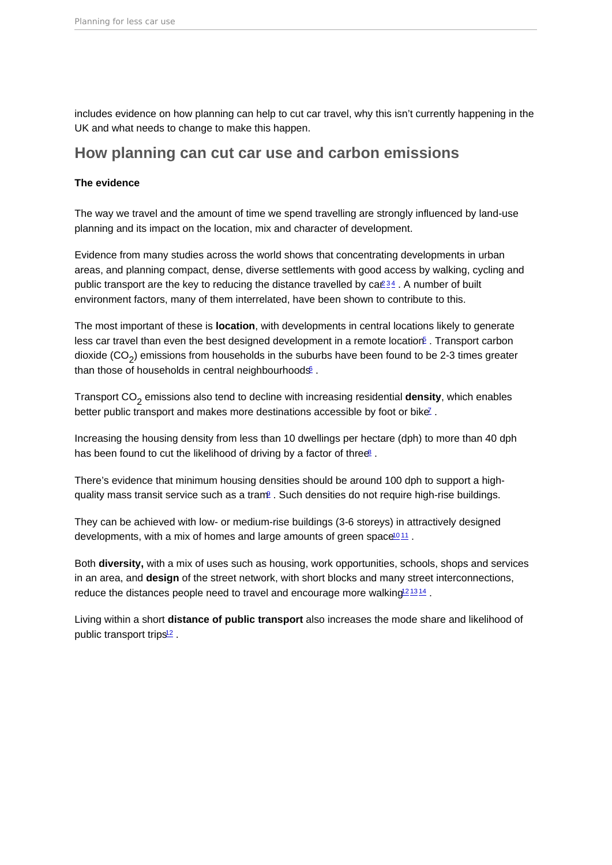<span id="page-2-0"></span>includes evidence on how planning can help to cut car travel, why this isn't currently happening in the UK and what needs to change to make this happen.

### How planning can cut car use and carbon emissions

The evidence

The way we travel and the amount of time we spend travelling are strongly influenced by land-use planning and its impact on the location, mix and character of development.

Evidence from many studies across the world shows that concentrating developments in urban areas, and planning compact, dense, diverse settlements with good access by walking, cycling and public transport are the key to reducing the distance travelled by  $ca\mathbb{Z}^3$  $ca\mathbb{Z}^3$ . A number of built environment factors, many of them interrelated, have been shown to contribute to this.

The most important of these is location , with developments in central locations likely to generate less car travel than even the best designed development in a remote location f. Transport carbon dioxide (CO<sub>2</sub>) emissions from households in the suburbs have been found to be 2-3 times greater than those of households in central neighbourhoods®.

Transport CO<sub>2</sub> emissions also tend to decline with increasing residential density , which enables better public transport and makes more destinations accessible by foot or bike<sup>[7](#page-13-0)</sup>.

Increasing the housing density from less than 10 dwellings per hectare (dph) to more than 40 dph has been found to cut the likelihood of driving by a factor of three<sup>[8](#page-13-0)</sup>.

There's evidence that minimum housing densities should be around 100 dph to support a highquality mass transit service such as a tram<sup>p</sup>. Such densities do not require high-rise buildings.

They can be achieved with low- or medium-rise buildings (3-6 storeys) in attractively designed developments, with a mix of homes and large amounts of green space<sup>[10](#page-13-0)[11](#page-13-0)</sup>.

Both diversity, with a mix of uses such as housing, work opportunities, schools, shops and services in an area, and design of the street network, with short blocks and many street interconnections, reduce the distances people need to travel and encourage more walking<sup>2[13](#page-13-0)14</sup>.

Living within a short distance of public transport also increases the mode share and likelihood of public transport trips<sup>[12](#page-13-0)</sup>.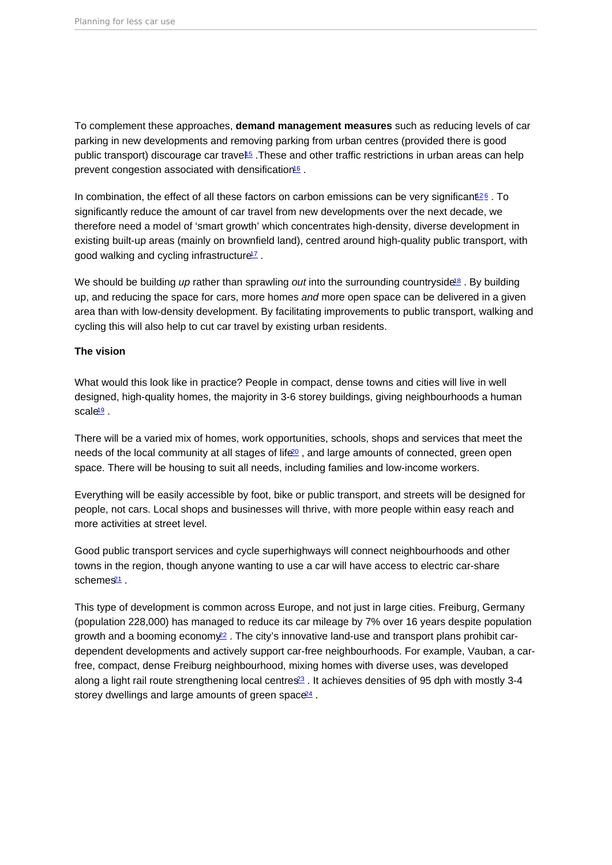<span id="page-3-0"></span>To complement these approaches, demand management measures such as reducing levels of car parking in new developments and removing parking from urban centres (provided there is good public transport) discourage car travel<sup>[15](#page-14-0)</sup>. These and other traffic restrictions in urban areas can help prevent congestion associated with densification<sup>[16](#page-14-0)</sup>.

In combination, the effect of all these factors on carbon emissions can be very significant<sup>[12](#page-13-0)[6](#page-13-0)</sup>. To significantly reduce the amount of car travel from new developments over the next decade, we therefore need a model of 'smart growth' which concentrates high-density, diverse development in existing built-up areas (mainly on brownfield land), centred around high-quality public transport, with good walking and cycling infrastructure<sup>[17](#page-14-0)</sup>.

We should be building up rather than sprawling out into the surrounding countryside<sup>[18](#page-14-0)</sup>. By building up, and reducing the space for cars, more homes and more open space can be delivered in a given area than with low-density development. By facilitating improvements to public transport, walking and cycling this will also help to cut car travel by existing urban residents.

### The vision

What would this look like in practice? People in compact, dense towns and cities will live in well designed, high-quality homes, the majority in 3-6 storey buildings, giving neighbourhoods a human  $scale<sup>19</sup>$  $scale<sup>19</sup>$  $scale<sup>19</sup>$ .

There will be a varied mix of homes, work opportunities, schools, shops and services that meet the needs of the local community at all stages of life<sup>[20](#page-14-0)</sup>, and large amounts of connected, green open space. There will be housing to suit all needs, including families and low-income workers.

Everything will be easily accessible by foot, bike or public transport, and streets will be designed for people, not cars. Local shops and businesses will thrive, with more people within easy reach and more activities at street level.

Good public transport services and cycle superhighways will connect neighbourhoods and other towns in the region, though anyone wanting to use a car will have access to electric car-share schemes $21$ .

This type of development is common across Europe, and not just in large cities. Freiburg, Germany (population 228,000) has managed to reduce its car mileage by 7% over 16 years despite population growth and a booming econom $\frac{22}{5}$  $\frac{22}{5}$  $\frac{22}{5}$ . The city's innovative land-use and transport plans prohibit cardependent developments and actively support car-free neighbourhoods. For example, Vauban, a carfree, compact, dense Freiburg neighbourhood, mixing homes with diverse uses, was developed along a light rail route strengthening local centres<sup>[23](#page-14-0)</sup>. It achieves densities of 95 dph with mostly 3-4 storey dwellings and large amounts of green space<sup>[24](#page-14-0)</sup>.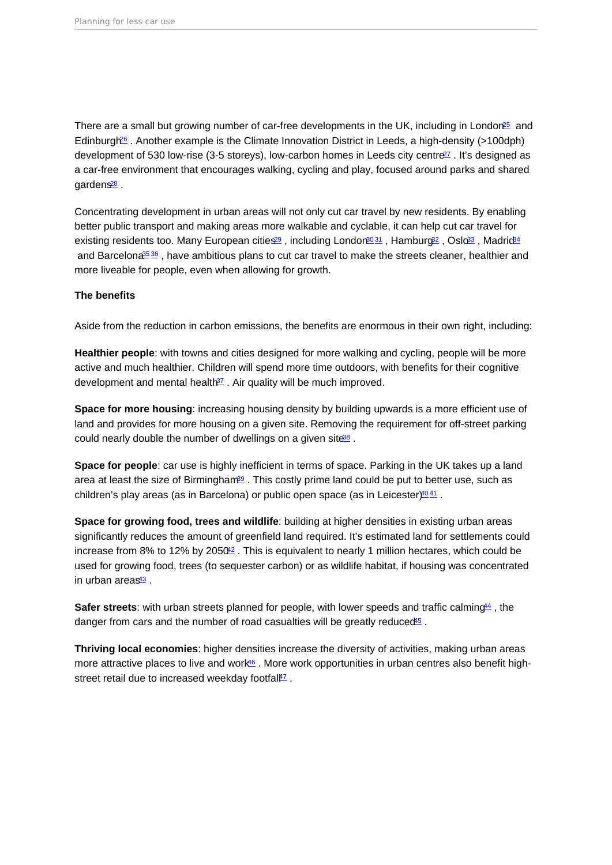<span id="page-4-0"></span>There are a small but growing number of car-free developments in the UK, including in London<sup>[25](#page-14-0)</sup> and Edinburgh[26](#page-14-0) . Another example is the Climate Innovation District in Leeds, a high-density (>100dph) development of 530 low-rise (3-5 storeys), low-carbon homes in Leeds city centre<sup>[27](#page-14-0)</sup>, It's designed as a car-free environment that encourages walking, cycling and play, focused around parks and shared gardens<sup>[28](#page-14-0)</sup>.

Concentrating development in urban areas will not only cut car travel by new residents. By enabling better public transport and making areas more walkable and cyclable, it can help cut car travel for existing residents too. Many European cities<sup>[29](#page-14-0)</sup>, including London<sup>[30](#page-15-0) [31](#page-15-0)</sup>, Hamburg<sup>22</sup>, Oslo<sup>[33](#page-15-0)</sup>, Madric<sup>84</sup> and Barcelona<sup>[35](#page-15-0) [36](#page-15-0)</sup>, have ambitious plans to cut car travel to make the streets cleaner, healthier and more liveable for people, even when allowing for growth.

The benefits

Aside from the reduction in carbon emissions, the benefits are enormous in their own right, including:

Healthier people : with towns and cities designed for more walking and cycling, people will be more active and much healthier. Children will spend more time outdoors, with benefits for their cognitive development and mental health $37$ . Air quality will be much improved.

Space for more housing : increasing housing density by building upwards is a more efficient use of land and provides for more housing on a given site. Removing the requirement for off-street parking could nearly double the number of dwellings on a given site<sup>[38](#page-15-0)</sup>.

Space for people : car use is highly inefficient in terms of space. Parking in the UK takes up a land area at least the size of Birmingham<sup>[39](#page-15-0)</sup>. This costly prime land could be put to better use, such as children's play areas (as in Barcelona) or public open space (as in Leicester)<sup>[40](#page-15-0)[41](#page-15-0)</sup>.

Space for growing food, trees and wildlife : building at higher densities in existing urban areas significantly reduces the amount of greenfield land required. It's estimated land for settlements could increase from 8% to 12% by 2050<sup>[42](#page-15-0)</sup>. This is equivalent to nearly 1 million hectares, which could be used for growing food, trees (to sequester carbon) or as wildlife habitat, if housing was concentrated in urban areas $43$ .

Safer streets : with urban streets planned for people, with lower speeds and traffic calming  $44$ , the danger from cars and the number of road casualties will be greatly reduced<sup>15</sup>.

Thriving local economies : higher densities increase the diversity of activities, making urban areas more attractive places to live and work<sup>[46](#page-16-0)</sup>. More work opportunities in urban centres also benefit highstreet retail due to increased weekday footfall<sup>17</sup>.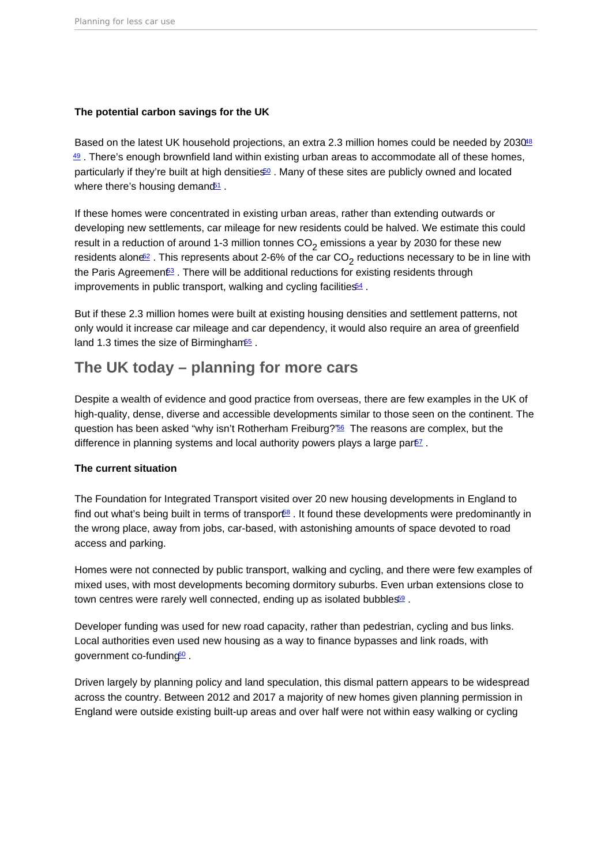<span id="page-5-0"></span>The potential carbon savings for the UK

Based on the latest UK household projections, an extra 2.3 million homes could be needed by 2030<sup>18</sup>  $49$ . There's enough brownfield land within existing urban areas to accommodate all of these homes, particularly if they're built at high densities<sup> $60$ </sup>. Many of these sites are publicly owned and located where there's housing demand<sup>[51](#page-16-0)</sup>.

If these homes were concentrated in existing urban areas, rather than extending outwards or developing new settlements, car mileage for new residents could be halved. We estimate this could result in a reduction of around 1-3 million tonnes CO<sub>2</sub> emissions a year by 2030 for these new residents alone $\Xi$  . This represents about 2-6% of the car CO<sub>2</sub> reductions necessary to be in line with the Paris Agreement<sup>3</sup>. There will be additional reductions for existing residents through improvements in public transport, walking and cycling facilities<sup>[54](#page-16-0)</sup>.

But if these 2.3 million homes were built at existing housing densities and settlement patterns, not only would it increase car mileage and car dependency, it would also require an area of greenfield land 1.3 times the size of Birmingham<sup>[55](#page-16-0)</sup>.

# The UK today – planning for more cars

Despite a wealth of evidence and good practice from overseas, there are few examples in the UK of high-quality, dense, diverse and accessible developments similar to those seen on the continent. The question has been asked "why isn't Rotherham Freiburg?"[56](#page-16-0) The reasons are complex, but the difference in planning systems and local authority powers plays a large par $E$ .

### The current situation

The Foundation for Integrated Transport visited over 20 new housing developments in England to find out what's being built in terms of transpor<sup>68</sup>. It found these developments were predominantly in the wrong place, away from jobs, car-based, with astonishing amounts of space devoted to road access and parking.

Homes were not connected by public transport, walking and cycling, and there were few examples of mixed uses, with most developments becoming dormitory suburbs. Even urban extensions close to town centres were rarely well connected, ending up as isolated bubbles<sup>[59](#page-16-0)</sup>.

Developer funding was used for new road capacity, rather than pedestrian, cycling and bus links. Local authorities even used new housing as a way to finance bypasses and link roads, with government co-funding<sup>[60](#page-16-0)</sup>.

Driven largely by planning policy and land speculation, this dismal pattern appears to be widespread across the country. Between 2012 and 2017 a majority of new homes given planning permission in England were outside existing built-up areas and over half were not within easy walking or cycling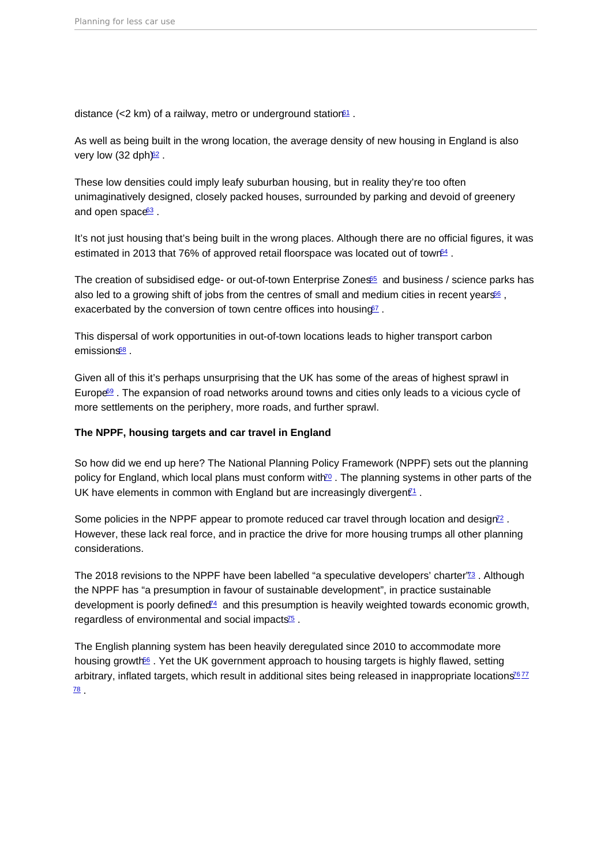<span id="page-6-0"></span>distance (<2 km) of a railway, metro or underground station  $61$ .

As well as being built in the wrong location, the average density of new housing in England is also very low  $(32 \text{ do} h)^{62}$  $(32 \text{ do} h)^{62}$  $(32 \text{ do} h)^{62}$ .

These low densities could imply leafy suburban housing, but in reality they're too often unimaginatively designed, closely packed houses, surrounded by parking and devoid of greenery and open space<sup>[63](#page-17-0)</sup>

It's not just housing that's being built in the wrong places. Although there are no official figures, it was estimated in 2013 that 76% of approved retail floorspace was located out of town<sup>[64](#page-17-0)</sup>.

The creation of subsidised edge- or out-of-town Enterprise Zones<sup>[65](#page-17-0)</sup> and business / science parks has also led to a growing shift of jobs from the centres of small and medium cities in recent years<sup>[66](#page-17-0)</sup>. exacerbated by the conversion of town centre offices into housing<sup>oz</sup>.

This dispersal of work opportunities in out-of-town locations leads to higher transport carbon emissions<sup>[68](#page-17-0)</sup>

Given all of this it's perhaps unsurprising that the UK has some of the areas of highest sprawl in Europe<sup>[69](#page-17-0)</sup>. The expansion of road networks around towns and cities only leads to a vicious cycle of more settlements on the periphery, more roads, and further sprawl.

The NPPF, housing targets and car travel in England

So how did we end up here? The National Planning Policy Framework (NPPF) sets out the planning policy for England, which local plans must conform with<sup>[70](#page-17-0)</sup>. The planning systems in other parts of the UK have elements in common with England but are increasingly divergent<sup>1</sup>.

Some policies in the NPPF appear to promote reduced car travel through location and design<sup>[72](#page-18-0)</sup>. However, these lack real force, and in practice the drive for more housing trumps all other planning considerations.

The 2018 revisions to the NPPF have been labelled "a speculative developers' charter"<sup>3</sup>. Although the NPPF has "a presumption in favour of sustainable development", in practice sustainable development is poorly defined<sup> $4$ </sup> and this presumption is heavily weighted towards economic growth, regardless of environmental and social impacts $\frac{75}{5}$  $\frac{75}{5}$  $\frac{75}{5}$ .

The English planning system has been heavily deregulated since 2010 to accommodate more housing growth<sup>66</sup>. Yet the UK government approach to housing targets is highly flawed, setting arbitrary, inflated targets, which result in additional sites being released in inappropriate locations<sup>6[77](#page-18-0)</sup>  $\overline{78}$  $\overline{78}$  $\overline{78}$  .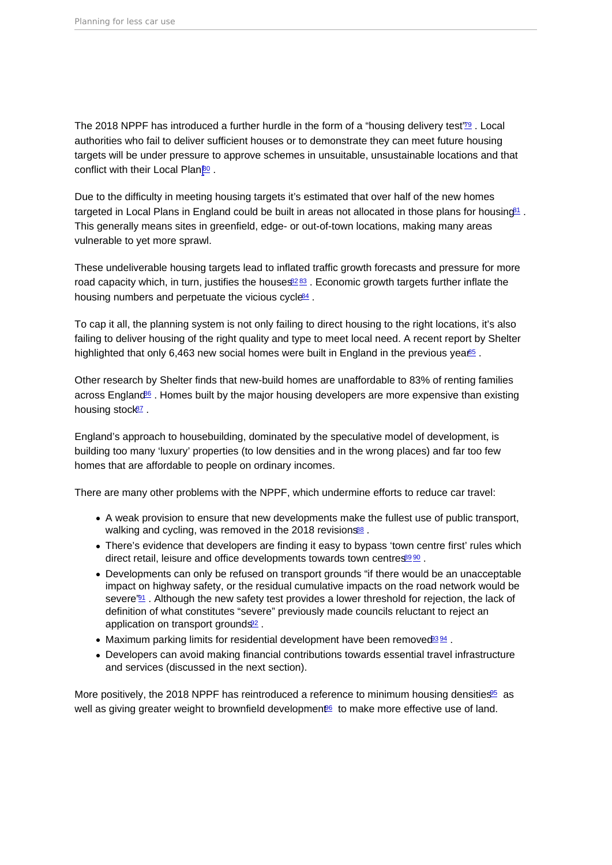<span id="page-7-0"></span>The 2018 NPPF has introduced a further hurdle in the form of a "housing delivery test" $\frac{1}{2}$ . Local authorities who fail to deliver sufficient houses or to demonstrate they can meet future housing targets will be under pressure to approve schemes in unsuitable, unsustainable locations and that conflict with their Local Plan<sup>go</sup>.

Due to the difficulty in meeting housing targets it's estimated that over half of the new homes targeted in Local Plans in England could be built in areas not allocated in those plans for housing<sup>[81](#page-18-0)</sup>. This generally means sites in greenfield, edge- or out-of-town locations, making many areas vulnerable to yet more sprawl.

These undeliverable housing targets lead to inflated traffic growth forecasts and pressure for more road capacity which, in turn, justifies the houses  $8283$  $8283$ . Economic growth targets further inflate the housing numbers and perpetuate the vicious cycle<sup>[84](#page-19-0)</sup>.

To cap it all, the planning system is not only failing to direct housing to the right locations, it's also failing to deliver housing of the right quality and type to meet local need. A recent report by Shelter highlighted that only 6,463 new social homes were built in England in the previous yea $\frac{165}{12}$ .

Other research by Shelter finds that new-build homes are unaffordable to 83% of renting families across England<sup>[86](#page-19-0)</sup>. Homes built by the major housing developers are more expensive than existing housing stock<sup>[87](#page-19-0)</sup>.

England's approach to housebuilding, dominated by the speculative model of development, is building too many 'luxury' properties (to low densities and in the wrong places) and far too few homes that are affordable to people on ordinary incomes.

There are many other problems with the NPPF, which undermine efforts to reduce car travel:

- A weak provision to ensure that new developments make the fullest use of public transport, walking and cycling, was removed in the 2018 revisions<sup>[88](#page-19-0)</sup>.
- There's evidence that developers are finding it easy to bypass 'town centre first' rules which direct retail, leisure and office developments towards town centres[89](#page-19-0) [90](#page-19-0).
- Developments can only be refused on transport grounds "if there would be an unacceptable impact on highway safety, or the residual cumulative impacts on the road network would be severe'<sup>[91](#page-19-0)</sup>. Although the new safety test provides a lower threshold for rejection, the lack of definition of what constitutes "severe" previously made councils reluctant to reject an application on transport grounds<sup>[92](#page-19-0)</sup>.
- $\bullet$  Maximum parking limits for residential development have been removed  $^{384}$ .
- Developers can avoid making financial contributions towards essential travel infrastructure and services (discussed in the next section).

More positively, the 2018 NPPF has reintroduced a reference to minimum housing densities<sup>65</sup> as well as giving greater weight to brownfield development<sup>®</sup> to make more effective use of land.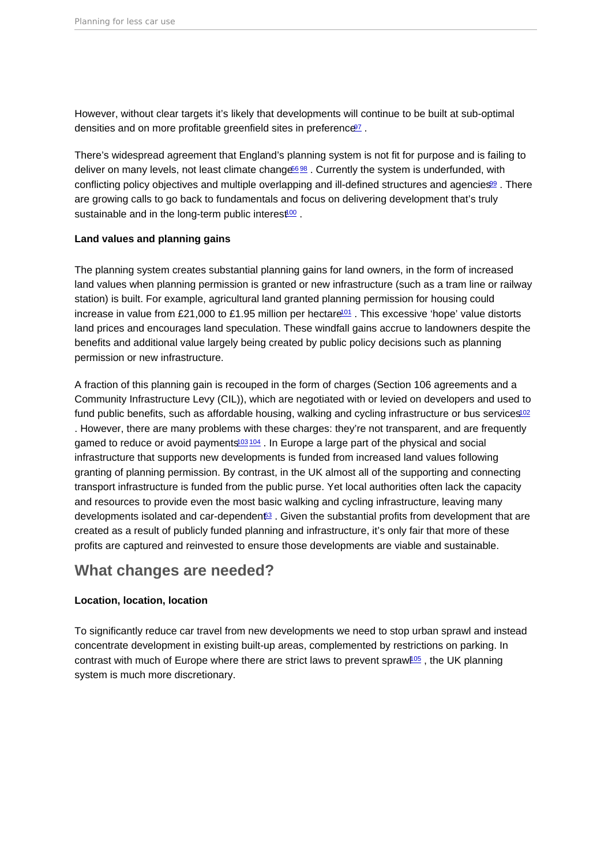<span id="page-8-0"></span>However, without clear targets it's likely that developments will continue to be built at sub-optimal densities and on more profitable greenfield sites in preference<sup>[97](#page-20-0)</sup>.

There's widespread agreement that England's planning system is not fit for purpose and is failing to deliver on many levels, not least climate change<sup>688</sup>. Currently the system is underfunded, with conflicting policy objectives and multiple overlapping and ill-defined structures and agencies<sup>[99](#page-20-0)</sup>. There are growing calls to go back to fundamentals and focus on delivering development that's truly sustainable and in the long-term public interest<sup>[100](#page-20-0)</sup>.

### Land values and planning gains

The planning system creates substantial planning gains for land owners, in the form of increased land values when planning permission is granted or new infrastructure (such as a tram line or railway station) is built. For example, agricultural land granted planning permission for housing could increase in value from £21,000 to £1.95 million per hectare<sup>[101](#page-20-0)</sup>. This excessive 'hope' value distorts land prices and encourages land speculation. These windfall gains accrue to landowners despite the benefits and additional value largely being created by public policy decisions such as planning permission or new infrastructure.

A fraction of this planning gain is recouped in the form of charges (Section 106 agreements and a Community Infrastructure Levy (CIL)), which are negotiated with or levied on developers and used to fund public benefits, such as affordable housing, walking and cycling infrastructure or bus services<sup>[102](#page-20-0)</sup> . However, there are many problems with these charges: they're not transparent, and are frequently gamed to reduce or avoid payments $103 \frac{104}{101}$  $103 \frac{104}{101}$  $103 \frac{104}{101}$  $103 \frac{104}{101}$ . In Europe a large part of the physical and social infrastructure that supports new developments is funded from increased land values following granting of planning permission. By contrast, in the UK almost all of the supporting and connecting transport infrastructure is funded from the public purse. Yet local authorities often lack the capacity and resources to provide even the most basic walking and cycling infrastructure, leaving many developments isolated and car-dependent<sup>3</sup>. Given the substantial profits from development that are created as a result of publicly funded planning and infrastructure, it's only fair that more of these profits are captured and reinvested to ensure those developments are viable and sustainable.

### What changes are needed?

### Location, location, location

To significantly reduce car travel from new developments we need to stop urban sprawl and instead concentrate development in existing built-up areas, complemented by restrictions on parking. In contrast with much of Europe where there are strict laws to prevent sprawl<sup>[105](#page-20-0)</sup>, the UK planning system is much more discretionary.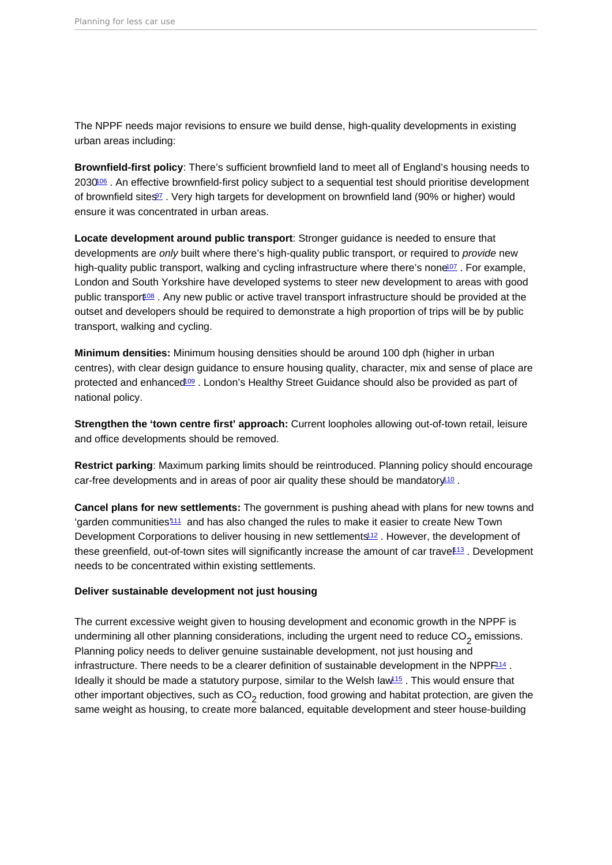<span id="page-9-0"></span>The NPPF needs major revisions to ensure we build dense, high-quality developments in existing urban areas including:

Brownfield-first policy : There's sufficient brownfield land to meet all of England's housing needs to 2030<sup>06</sup>. An effective brownfield-first policy subject to a sequential test should prioritise development of brownfield sites<sup>[97](#page-20-0)</sup>. Very high targets for development on brownfield land (90% or higher) would ensure it was concentrated in urban areas.

Locate development around public transport : Stronger guidance is needed to ensure that developments are only built where there's high-quality public transport, or required to provide new high-quality public transport, walking and cycling infrastructure where there's none<sup>[107](#page-20-0)</sup>. For example, London and South Yorkshire have developed systems to steer new development to areas with good public transport<sup>[108](#page-20-0)</sup>. Any new public or active travel transport infrastructure should be provided at the outset and developers should be required to demonstrate a high proportion of trips will be by public transport, walking and cycling.

Minimum densities: Minimum housing densities should be around 100 dph (higher in urban centres), with clear design guidance to ensure housing quality, character, mix and sense of place are protected and enhanced<sup>109</sup>. London's Healthy Street Guidance should also be provided as part of national policy.

Strengthen the 'town centre first' approach: Current loopholes allowing out-of-town retail, leisure and office developments should be removed.

Restrict parking : Maximum parking limits should be reintroduced. Planning policy should encourage car-free developments and in areas of poor air quality these should be mandatory<sup>[110](#page-21-0)</sup>.

Cancel plans for new settlements: The government is pushing ahead with plans for new towns and 'garden communities'[111](#page-21-0) and has also changed the rules to make it easier to create New Town Development Corporations to deliver housing in new settlements<sup>[112](#page-21-0)</sup>. However, the development of these greenfield, out-of-town sites will significantly increase the amount of car travel<sup>[113](#page-21-0)</sup>. Development needs to be concentrated within existing settlements.

Deliver sustainable development not just housing

The current excessive weight given to housing development and economic growth in the NPPF is undermining all other planning considerations, including the urgent need to reduce  $\mathrm{CO}_2$  emissions. Planning policy needs to deliver genuine sustainable development, not just housing and infrastructure. There needs to be a clearer definition of sustainable development in the NPP $F<sup>114</sup>$  $F<sup>114</sup>$  $F<sup>114</sup>$ . Ideally it should be made a statutory purpose, similar to the Welsh law $115$ . This would ensure that other important objectives, such as CO<sub>2</sub> reduction, food growing and habitat protection, are given the same weight as housing, to create more balanced, equitable development and steer house-building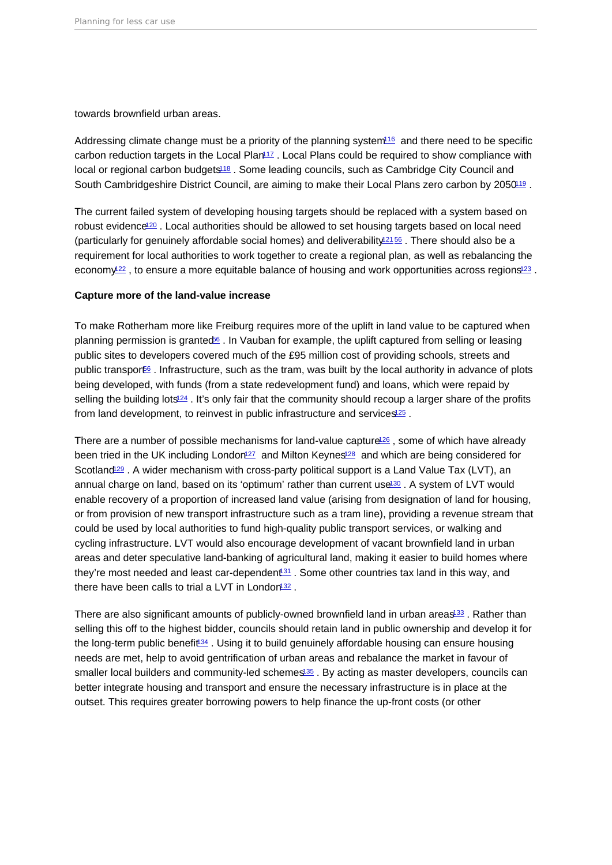<span id="page-10-0"></span>towards brownfield urban areas.

Addressing climate change must be a priority of the planning system<sup>16</sup> and there need to be specific carbon reduction targets in the Local Plan<sup>[117](#page-21-0)</sup>. Local Plans could be required to show compliance with local or regional carbon budgets<sup>[118](#page-21-0)</sup>. Some leading councils, such as Cambridge City Council and South Cambridgeshire District Council, are aiming to make their Local Plans zero carbon by 2050<sup>19</sup>.

The current failed system of developing housing targets should be replaced with a system based on robust evidence<sup>[120](#page-21-0)</sup>. Local authorities should be allowed to set housing targets based on local need (particularly for genuinely affordable social homes) and deliverability<sup>[121](#page-21-0) [56](#page-16-0)</sup>. There should also be a requirement for local authorities to work together to create a regional plan, as well as rebalancing the economy<sup>22</sup>, to ensure a more equitable balance of housing and work opportunities across regions<sup>[123](#page-22-0)</sup>.

### Capture more of the land-value increase

To make Rotherham more like Freiburg requires more of the uplift in land value to be captured when planning permission is granted<sup>66</sup>. In Vauban for example, the uplift captured from selling or leasing public sites to developers covered much of the £95 million cost of providing schools, streets and public transport<sup>66</sup>. Infrastructure, such as the tram, was built by the local authority in advance of plots being developed, with funds (from a state redevelopment fund) and loans, which were repaid by selling the building lots<sup>[124](#page-22-0)</sup>. It's only fair that the community should recoup a larger share of the profits from land development, to reinvest in public infrastructure and services<sup>[125](#page-22-0)</sup>.

There are a number of possible mechanisms for land-value capture<sup>[126](#page-22-0)</sup>, some of which have already been tried in the UK including London<sup>[127](#page-22-0)</sup> and Milton Keynes<sup>[128](#page-22-0)</sup> and which are being considered for Scotland<sup>[129](#page-22-0)</sup> . A wider mechanism with cross-party political support is a Land Value Tax (LVT), an annual charge on land, based on its 'optimum' rather than current use<sup>[130](#page-22-0)</sup>. A system of LVT would enable recovery of a proportion of increased land value (arising from designation of land for housing, or from provision of new transport infrastructure such as a tram line), providing a revenue stream that could be used by local authorities to fund high-quality public transport services, or walking and cycling infrastructure. LVT would also encourage development of vacant brownfield land in urban areas and deter speculative land-banking of agricultural land, making it easier to build homes where they're most needed and least car-dependent<sup>31</sup>. Some other countries tax land in this way, and there have been calls to trial a LVT in London<sup>[132](#page-22-0)</sup>.

There are also significant amounts of publicly-owned brownfield land in urban areas<sup>[133](#page-22-0)</sup>. Rather than selling this off to the highest bidder, councils should retain land in public ownership and develop it for the long-term public benefit<sup>34</sup>. Using it to build genuinely affordable housing can ensure housing needs are met, help to avoid gentrification of urban areas and rebalance the market in favour of smaller local builders and community-led schemes<sup>[135](#page-22-0)</sup>. By acting as master developers, councils can better integrate housing and transport and ensure the necessary infrastructure is in place at the outset. This requires greater borrowing powers to help finance the up-front costs (or other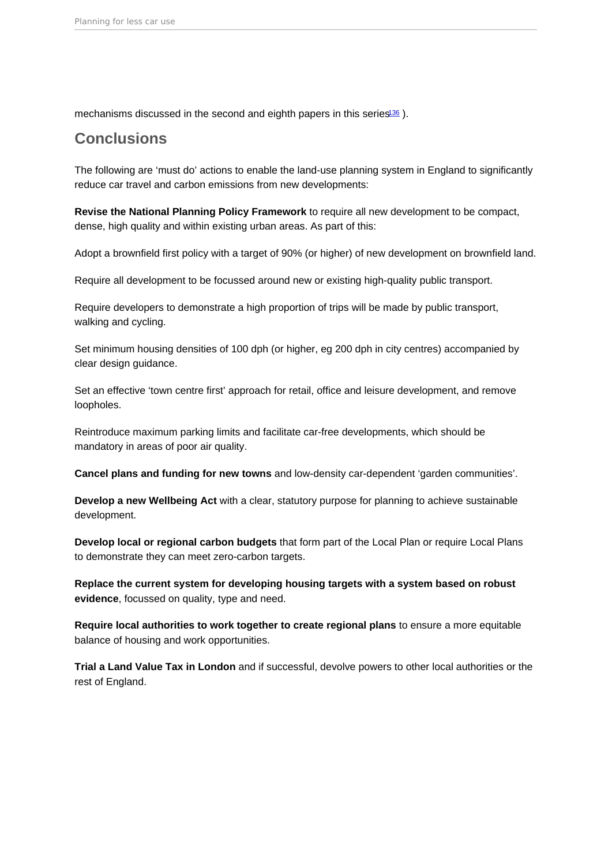<span id="page-11-0"></span>mechanisms discussed in the second and eighth papers in this series<sup>[136](#page-23-0)</sup>).

# **Conclusions**

The following are 'must do' actions to enable the land-use planning system in England to significantly reduce car travel and carbon emissions from new developments:

Revise the National Planning Policy Framework to require all new development to be compact, dense, high quality and within existing urban areas. As part of this:

Adopt a brownfield first policy with a target of 90% (or higher) of new development on brownfield land.

Require all development to be focussed around new or existing high-quality public transport.

Require developers to demonstrate a high proportion of trips will be made by public transport, walking and cycling.

Set minimum housing densities of 100 dph (or higher, eg 200 dph in city centres) accompanied by clear design guidance.

Set an effective 'town centre first' approach for retail, office and leisure development, and remove loopholes.

Reintroduce maximum parking limits and facilitate car-free developments, which should be mandatory in areas of poor air quality.

Cancel plans and funding for new towns and low-density car-dependent 'garden communities'.

Develop a new Wellbeing Act with a clear, statutory purpose for planning to achieve sustainable development.

Develop local or regional carbon budgets that form part of the Local Plan or require Local Plans to demonstrate they can meet zero-carbon targets.

Replace the current system for developing housing targets with a system based on robust evidence , focussed on quality, type and need.

Require local authorities to work together to create regional plans to ensure a more equitable balance of housing and work opportunities.

Trial a Land Value Tax in London and if successful, devolve powers to other local authorities or the rest of England.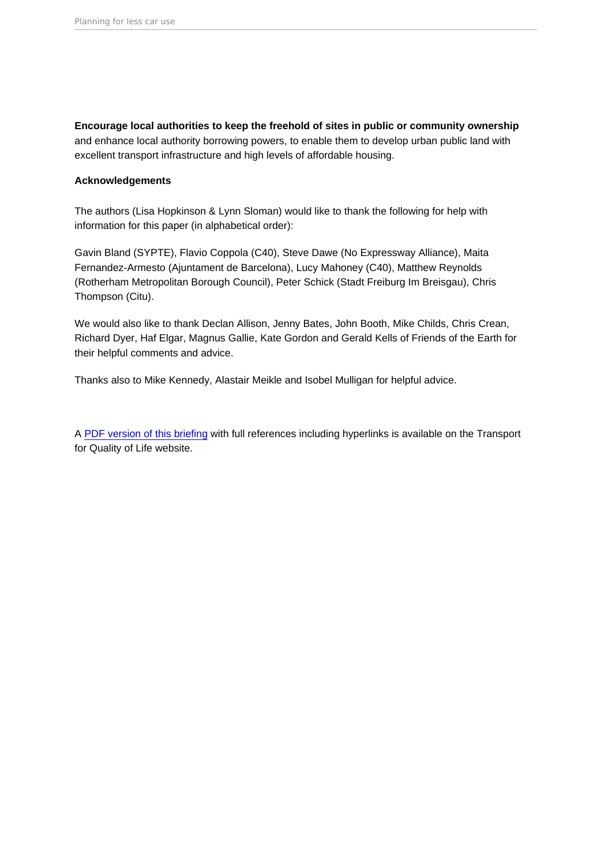Encourage local authorities to keep the freehold of sites in public or community ownership and enhance local authority borrowing powers, to enable them to develop urban public land with excellent transport infrastructure and high levels of affordable housing.

### Acknowledgements

The authors (Lisa Hopkinson & Lynn Sloman) would like to thank the following for help with information for this paper (in alphabetical order):

Gavin Bland (SYPTE), Flavio Coppola (C40), Steve Dawe (No Expressway Alliance), Maita Fernandez-Armesto (Ajuntament de Barcelona), Lucy Mahoney (C40), Matthew Reynolds (Rotherham Metropolitan Borough Council), Peter Schick (Stadt Freiburg Im Breisgau), Chris Thompson (Citu).

We would also like to thank Declan Allison, Jenny Bates, John Booth, Mike Childs, Chris Crean, Richard Dyer, Haf Elgar, Magnus Gallie, Kate Gordon and Gerald Kells of Friends of the Earth for their helpful comments and advice.

Thanks also to Mike Kennedy, Alastair Meikle and Isobel Mulligan for helpful advice.

A [PDF version of this briefing](https://www.transportforqualityoflife.com/u/files/3 Planning for less car use briefing.pdf) with full references including hyperlinks is available on the Transport for Quality of Life website.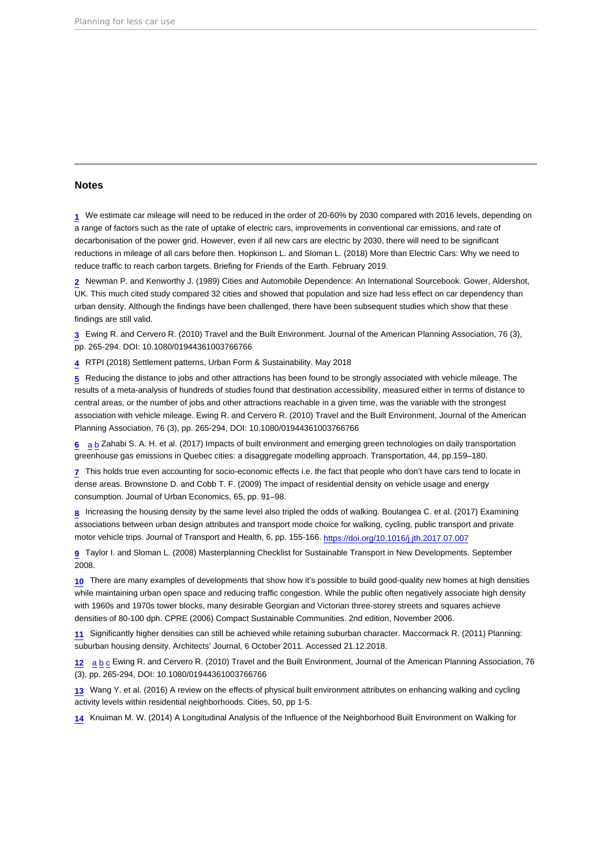### <span id="page-13-0"></span>Notes

[1](#page-1-0) We estimate car mileage will need to be reduced in the order of 20-60% by 2030 compared with 2016 levels, depending on a range of factors such as the rate of uptake of electric cars, improvements in conventional car emissions, and rate of decarbonisation of the power grid. However, even if all new cars are electric by 2030, there will need to be significant reductions in mileage of all cars before then. Hopkinson L. and Sloman L. (2018) More than Electric Cars: Why we need to reduce traffic to reach carbon targets. Briefing for Friends of the Earth. February 2019.

[2](#page-2-0) Newman P. and Kenworthy J. (1989) Cities and Automobile Dependence: An International Sourcebook. Gower, Aldershot, UK. This much cited study compared 32 cities and showed that population and size had less effect on car dependency than urban density. Although the findings have been challenged, there have been subsequent studies which show that these findings are still valid.

[3](#page-2-0) Ewing R. and Cervero R. (2010) Travel and the Built Environment. Journal of the American Planning Association, 76 (3), pp. 265-294. DOI: 10.1080/01944361003766766

[4](#page-2-0) RTPI (2018) Settlement patterns, Urban Form & Sustainability. May 2018

[5](#page-2-0) Reducing the distance to jobs and other attractions has been found to be strongly associated with vehicle mileage. The results of a meta-analysis of hundreds of studies found that destination accessibility, measured either in terms of distance to central areas, or the number of jobs and other attractions reachable in a given time, was the variable with the strongest association with vehicle mileage. Ewing R. and Cervero R. (2010) Travel and the Built Environment, Journal of the American Planning Association, 76 (3), pp. 265-294, DOI: 10.1080/01944361003766766

[6](#page-2-0) [a](#page-2-0) [b](#page-3-0) Zahabi S. A. H. et al. (2017) Impacts of built environment and emerging green technologies on daily transportation greenhouse gas emissions in Quebec cities: a disaggregate modelling approach. Transportation, 44, pp.159–180.

[7](#page-2-0) This holds true even accounting for socio-economic effects i.e. the fact that people who don't have cars tend to locate in dense areas. Brownstone D. and Cobb T. F. (2009) The impact of residential density on vehicle usage and energy consumption. Journal of Urban Economics, 65, pp. 91–98.

[8](#page-2-0) Increasing the housing density by the same level also tripled the odds of walking. Boulangea C. et al. (2017) Examining associations between urban design attributes and transport mode choice for walking, cycling, public transport and private motor vehicle trips. Journal of Transport and Health, 6, pp. 155-166. <https://doi.org/10.1016/j.jth.2017.07.007>

[9](#page-2-0) Taylor I. and Sloman L. (2008) Masterplanning Checklist for Sustainable Transport in New Developments. September 2008.

[10](#page-2-0) There are many examples of developments that show how it's possible to build good-quality new homes at high densities while maintaining urban open space and reducing traffic congestion. While the public often negatively associate high density with 1960s and 1970s tower blocks, many desirable Georgian and Victorian three-storey streets and squares achieve densities of 80-100 dph. CPRE (2006) Compact Sustainable Communities. 2nd edition, November 2006.

[11](#page-2-0) Significantly higher densities can still be achieved while retaining suburban character. Maccormack R. (2011) Planning: suburban housing density. Architects' Journal, 6 October 2011. Accessed 21.12.2018.

[12](#page-2-0) [a](#page-2-0) [b](#page-2-0) [c](#page-3-0) Ewing R. and Cervero R. (2010) Travel and the Built Environment, Journal of the American Planning Association, 76 (3), pp. 265-294, DOI: 10.1080/01944361003766766

[13](#page-2-0) Wang Y. et al. (2016) A review on the effects of physical built environment attributes on enhancing walking and cycling activity levels within residential neighborhoods. Cities, 50, pp 1-5.

[14](#page-2-0) Knuiman M. W. (2014) A Longitudinal Analysis of the Influence of the Neighborhood Built Environment on Walking for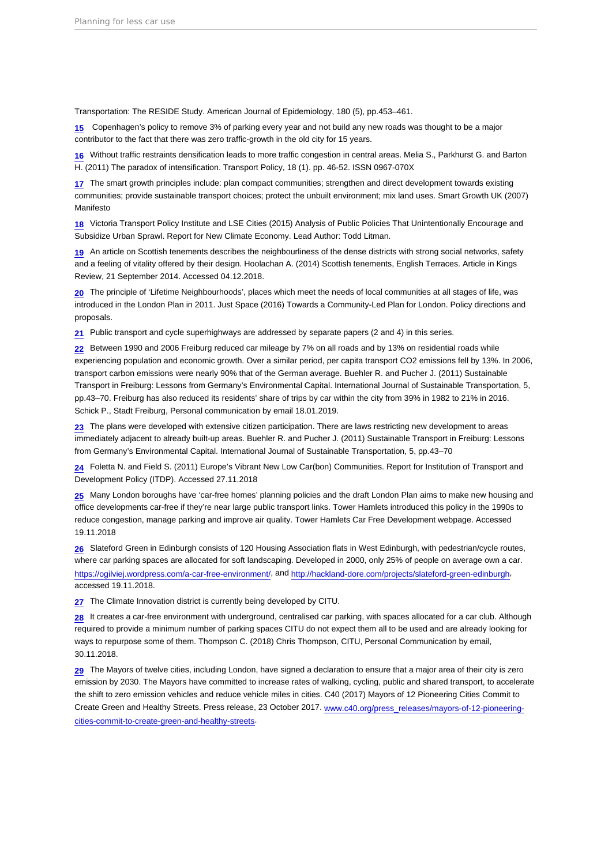<span id="page-14-0"></span>Transportation: The RESIDE Study. American Journal of Epidemiology, 180 (5), pp.453–461.

[15](#page-3-0) Copenhagen's policy to remove 3% of parking every year and not build any new roads was thought to be a major contributor to the fact that there was zero traffic-growth in the old city for 15 years.

[16](#page-3-0) Without traffic restraints densification leads to more traffic congestion in central areas. Melia S., Parkhurst G. and Barton H. (2011) The paradox of intensification. Transport Policy, 18 (1). pp. 46-52. ISSN 0967-070X

[17](#page-3-0) The smart growth principles include: plan compact communities; strengthen and direct development towards existing communities; provide sustainable transport choices; protect the unbuilt environment; mix land uses. Smart Growth UK (2007) Manifesto

[18](#page-3-0) Victoria Transport Policy Institute and LSE Cities (2015) Analysis of Public Policies That Unintentionally Encourage and Subsidize Urban Sprawl. Report for New Climate Economy. Lead Author: Todd Litman.

[19](#page-3-0) An article on Scottish tenements describes the neighbourliness of the dense districts with strong social networks, safety and a feeling of vitality offered by their design. Hoolachan A. (2014) Scottish tenements, English Terraces. Article in Kings Review, 21 September 2014. Accessed 04.12.2018.

[20](#page-3-0) The principle of 'Lifetime Neighbourhoods', places which meet the needs of local communities at all stages of life, was introduced in the London Plan in 2011. Just Space (2016) Towards a Community-Led Plan for London. Policy directions and proposals.

[21](#page-3-0) Public transport and cycle superhighways are addressed by separate papers (2 and 4) in this series.

[22](#page-3-0) Between 1990 and 2006 Freiburg reduced car mileage by 7% on all roads and by 13% on residential roads while experiencing population and economic growth. Over a similar period, per capita transport CO2 emissions fell by 13%. In 2006, transport carbon emissions were nearly 90% that of the German average. Buehler R. and Pucher J. (2011) Sustainable Transport in Freiburg: Lessons from Germany's Environmental Capital. International Journal of Sustainable Transportation, 5, pp.43–70. Freiburg has also reduced its residents' share of trips by car within the city from 39% in 1982 to 21% in 2016. Schick P., Stadt Freiburg, Personal communication by email 18.01.2019.

[23](#page-3-0) The plans were developed with extensive citizen participation. There are laws restricting new development to areas immediately adjacent to already built-up areas. Buehler R. and Pucher J. (2011) Sustainable Transport in Freiburg: Lessons from Germany's Environmental Capital. International Journal of Sustainable Transportation, 5, pp.43–70

[24](#page-3-0) Foletta N. and Field S. (2011) Europe's Vibrant New Low Car(bon) Communities. Report for Institution of Transport and Development Policy (ITDP). Accessed 27.11.2018

[25](#page-4-0) Many London boroughs have 'car-free homes' planning policies and the draft London Plan aims to make new housing and office developments car-free if they're near large public transport links. Tower Hamlets introduced this policy in the 1990s to reduce congestion, manage parking and improve air quality. Tower Hamlets Car Free Development webpage. Accessed 19.11.2018

[26](#page-4-0) Slateford Green in Edinburgh consists of 120 Housing Association flats in West Edinburgh, with pedestrian/cycle routes, where car parking spaces are allocated for soft landscaping. Developed in 2000, only 25% of people on average own a car. <https://ogilviej.wordpress.com/a-car-free-environment/>, and [http://hackland-dore.com/projects/slateford-green-edinburgh,](http://hackland-dore.com/projects/slateford-green-edinburgh) accessed 19.11.2018.

[27](#page-4-0) The Climate Innovation district is currently being developed by CITU.

[28](#page-4-0) It creates a car-free environment with underground, centralised car parking, with spaces allocated for a car club. Although required to provide a minimum number of parking spaces CITU do not expect them all to be used and are already looking for ways to repurpose some of them. Thompson C. (2018) Chris Thompson, CITU, Personal Communication by email, 30.11.2018.

[29](#page-4-0) The Mayors of twelve cities, including London, have signed a declaration to ensure that a major area of their city is zero emission by 2030. The Mayors have committed to increase rates of walking, cycling, public and shared transport, to accelerate the shift to zero emission vehicles and reduce vehicle miles in cities. C40 (2017) Mayors of 12 Pioneering Cities Commit to Create Green and Healthy Streets. Press release, 23 October 2017. [www.c40.org/press\\_releases/mayors-of-12-pioneering](http://www.c40.org/press_releases/mayors-of-12-pioneering-cities-commit-to-create-green-and-healthy-streets)[cities-commit-to-create-green-and-healthy-streets.](http://www.c40.org/press_releases/mayors-of-12-pioneering-cities-commit-to-create-green-and-healthy-streets)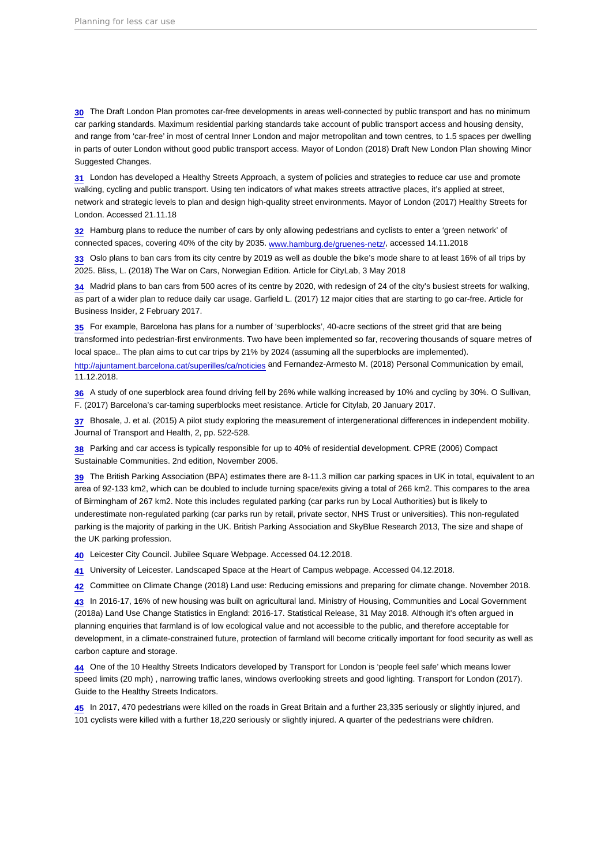<span id="page-15-0"></span>[30](#page-4-0) The Draft London Plan promotes car-free developments in areas well-connected by public transport and has no minimum car parking standards. Maximum residential parking standards take account of public transport access and housing density, and range from 'car-free' in most of central Inner London and major metropolitan and town centres, to 1.5 spaces per dwelling in parts of outer London without good public transport access. Mayor of London (2018) Draft New London Plan showing Minor Suggested Changes.

[31](#page-4-0) London has developed a Healthy Streets Approach, a system of policies and strategies to reduce car use and promote walking, cycling and public transport. Using ten indicators of what makes streets attractive places, it's applied at street, network and strategic levels to plan and design high-quality street environments. Mayor of London (2017) Healthy Streets for London. Accessed 21.11.18

[32](#page-4-0) Hamburg plans to reduce the number of cars by only allowing pedestrians and cyclists to enter a 'green network' of connected spaces, covering 40% of the city by 2035. [www.hamburg.de/gruenes-netz/](http://www.hamburg.de/gruenes-netz/), accessed 14.11.2018

[33](#page-4-0) Oslo plans to ban cars from its city centre by 2019 as well as double the bike's mode share to at least 16% of all trips by 2025. Bliss, L. (2018) The War on Cars, Norwegian Edition. Article for CityLab, 3 May 2018

[34](#page-4-0) Madrid plans to ban cars from 500 acres of its centre by 2020, with redesign of 24 of the city's busiest streets for walking, as part of a wider plan to reduce daily car usage. Garfield L. (2017) 12 major cities that are starting to go car-free. Article for Business Insider, 2 February 2017.

[35](#page-4-0) For example, Barcelona has plans for a number of 'superblocks', 40-acre sections of the street grid that are being transformed into pedestrian-first environments. Two have been implemented so far, recovering thousands of square metres of local space.. The plan aims to cut car trips by 21% by 2024 (assuming all the superblocks are implemented). <http://ajuntament.barcelona.cat/superilles/ca/noticies>and Fernandez-Armesto M. (2018) Personal Communication by email, 11.12.2018.

[36](#page-4-0) A study of one superblock area found driving fell by 26% while walking increased by 10% and cycling by 30%. O Sullivan, F. (2017) Barcelona's car-taming superblocks meet resistance. Article for Citylab, 20 January 2017.

[37](#page-4-0) Bhosale, J. et al. (2015) A pilot study exploring the measurement of intergenerational differences in independent mobility. Journal of Transport and Health, 2, pp. 522-528.

[38](#page-4-0) Parking and car access is typically responsible for up to 40% of residential development. CPRE (2006) Compact Sustainable Communities. 2nd edition, November 2006.

[39](#page-4-0) The British Parking Association (BPA) estimates there are 8-11.3 million car parking spaces in UK in total, equivalent to an area of 92-133 km2, which can be doubled to include turning space/exits giving a total of 266 km2. This compares to the area of Birmingham of 267 km2. Note this includes regulated parking (car parks run by Local Authorities) but is likely to underestimate non-regulated parking (car parks run by retail, private sector, NHS Trust or universities). This non-regulated parking is the majority of parking in the UK. British Parking Association and SkyBlue Research 2013, The size and shape of the UK parking profession.

[40](#page-4-0) Leicester City Council. Jubilee Square Webpage. Accessed 04.12.2018.

[41](#page-4-0) University of Leicester. Landscaped Space at the Heart of Campus webpage. Accessed 04.12.2018.

[42](#page-4-0) Committee on Climate Change (2018) Land use: Reducing emissions and preparing for climate change. November 2018.

[43](#page-4-0) In 2016-17, 16% of new housing was built on agricultural land. Ministry of Housing, Communities and Local Government (2018a) Land Use Change Statistics in England: 2016-17. Statistical Release, 31 May 2018. Although it's often argued in planning enquiries that farmland is of low ecological value and not accessible to the public, and therefore acceptable for development, in a climate-constrained future, protection of farmland will become critically important for food security as well as carbon capture and storage.

[44](#page-4-0) One of the 10 Healthy Streets Indicators developed by Transport for London is 'people feel safe' which means lower speed limits (20 mph) , narrowing traffic lanes, windows overlooking streets and good lighting. Transport for London (2017). Guide to the Healthy Streets Indicators.

[45](#page-4-0) In 2017, 470 pedestrians were killed on the roads in Great Britain and a further 23,335 seriously or slightly injured, and 101 cyclists were killed with a further 18,220 seriously or slightly injured. A quarter of the pedestrians were children.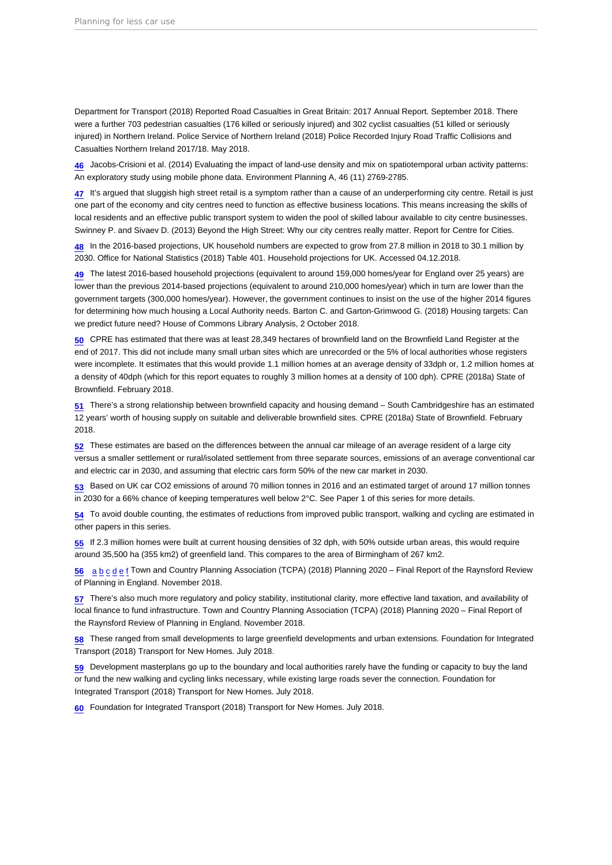<span id="page-16-0"></span>Department for Transport (2018) Reported Road Casualties in Great Britain: 2017 Annual Report. September 2018. There were a further 703 pedestrian casualties (176 killed or seriously injured) and 302 cyclist casualties (51 killed or seriously injured) in Northern Ireland. Police Service of Northern Ireland (2018) Police Recorded Injury Road Traffic Collisions and Casualties Northern Ireland 2017/18. May 2018.

[46](#page-4-0) Jacobs-Crisioni et al. (2014) Evaluating the impact of land-use density and mix on spatiotemporal urban activity patterns: An exploratory study using mobile phone data. Environment Planning A, 46 (11) 2769-2785.

[47](#page-4-0) It's argued that sluggish high street retail is a symptom rather than a cause of an underperforming city centre. Retail is just one part of the economy and city centres need to function as effective business locations. This means increasing the skills of local residents and an effective public transport system to widen the pool of skilled labour available to city centre businesses. Swinney P. and Sivaev D. (2013) Beyond the High Street: Why our city centres really matter. Report for Centre for Cities.

[48](#page-5-0) In the 2016-based projections, UK household numbers are expected to grow from 27.8 million in 2018 to 30.1 million by 2030. Office for National Statistics (2018) Table 401. Household projections for UK. Accessed 04.12.2018.

[49](#page-5-0) The latest 2016-based household projections (equivalent to around 159,000 homes/year for England over 25 years) are lower than the previous 2014-based projections (equivalent to around 210,000 homes/year) which in turn are lower than the government targets (300,000 homes/year). However, the government continues to insist on the use of the higher 2014 figures for determining how much housing a Local Authority needs. Barton C. and Garton-Grimwood G. (2018) Housing targets: Can we predict future need? House of Commons Library Analysis, 2 October 2018.

[50](#page-5-0) CPRE has estimated that there was at least 28,349 hectares of brownfield land on the Brownfield Land Register at the end of 2017. This did not include many small urban sites which are unrecorded or the 5% of local authorities whose registers were incomplete. It estimates that this would provide 1.1 million homes at an average density of 33dph or, 1.2 million homes at a density of 40dph (which for this report equates to roughly 3 million homes at a density of 100 dph). CPRE (2018a) State of Brownfield. February 2018.

[51](#page-5-0) There's a strong relationship between brownfield capacity and housing demand – South Cambridgeshire has an estimated 12 years' worth of housing supply on suitable and deliverable brownfield sites. CPRE (2018a) State of Brownfield. February 2018.

[52](#page-5-0) These estimates are based on the differences between the annual car mileage of an average resident of a large city versus a smaller settlement or rural/isolated settlement from three separate sources, emissions of an average conventional car and electric car in 2030, and assuming that electric cars form 50% of the new car market in 2030.

[53](#page-5-0) Based on UK car CO2 emissions of around 70 million tonnes in 2016 and an estimated target of around 17 million tonnes in 2030 for a 66% chance of keeping temperatures well below 2°C. See Paper 1 of this series for more details.

[54](#page-5-0) To avoid double counting, the estimates of reductions from improved public transport, walking and cycling are estimated in other papers in this series.

[55](#page-5-0) If 2.3 million homes were built at current housing densities of 32 dph, with 50% outside urban areas, this would require around 35,500 ha (355 km2) of greenfield land. This compares to the area of Birmingham of 267 km2.

[56](#page-5-0) [a](#page-5-0) [b](#page-6-0) [c](#page-8-0) [d](#page-10-0) [e](#page-10-0) [f](#page-10-0) Town and Country Planning Association (TCPA) (2018) Planning 2020 – Final Report of the Raynsford Review of Planning in England. November 2018.

[57](#page-5-0) There's also much more regulatory and policy stability, institutional clarity, more effective land taxation, and availability of local finance to fund infrastructure. Town and Country Planning Association (TCPA) (2018) Planning 2020 – Final Report of the Raynsford Review of Planning in England. November 2018.

[58](#page-5-0) These ranged from small developments to large greenfield developments and urban extensions. Foundation for Integrated Transport (2018) Transport for New Homes. July 2018.

[59](#page-5-0) Development masterplans go up to the boundary and local authorities rarely have the funding or capacity to buy the land or fund the new walking and cycling links necessary, while existing large roads sever the connection. Foundation for Integrated Transport (2018) Transport for New Homes. July 2018.

[60](#page-5-0) Foundation for Integrated Transport (2018) Transport for New Homes. July 2018.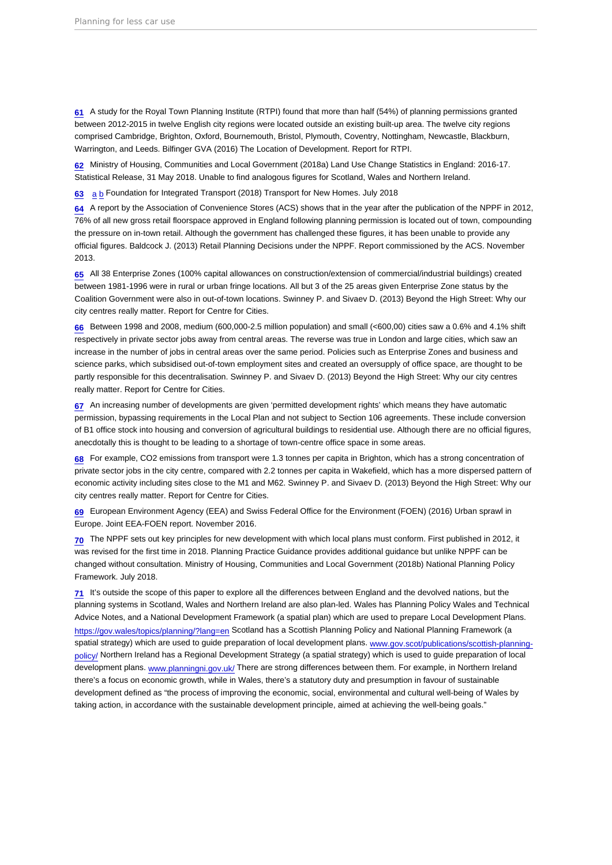<span id="page-17-0"></span>[61](#page-6-0) A study for the Royal Town Planning Institute (RTPI) found that more than half (54%) of planning permissions granted between 2012-2015 in twelve English city regions were located outside an existing built-up area. The twelve city regions comprised Cambridge, Brighton, Oxford, Bournemouth, Bristol, Plymouth, Coventry, Nottingham, Newcastle, Blackburn, Warrington, and Leeds. Bilfinger GVA (2016) The Location of Development. Report for RTPI.

[62](#page-6-0) Ministry of Housing, Communities and Local Government (2018a) Land Use Change Statistics in England: 2016-17. Statistical Release, 31 May 2018. Unable to find analogous figures for Scotland, Wales and Northern Ireland.

[63](#page-6-0) [a](#page-6-0) [b](#page-8-0) Foundation for Integrated Transport (2018) Transport for New Homes. July 2018

[64](#page-6-0) A report by the Association of Convenience Stores (ACS) shows that in the year after the publication of the NPPF in 2012, 76% of all new gross retail floorspace approved in England following planning permission is located out of town, compounding the pressure on in-town retail. Although the government has challenged these figures, it has been unable to provide any official figures. Baldcock J. (2013) Retail Planning Decisions under the NPPF. Report commissioned by the ACS. November 2013.

[65](#page-6-0) All 38 Enterprise Zones (100% capital allowances on construction/extension of commercial/industrial buildings) created between 1981-1996 were in rural or urban fringe locations. All but 3 of the 25 areas given Enterprise Zone status by the Coalition Government were also in out-of-town locations. Swinney P. and Sivaev D. (2013) Beyond the High Street: Why our city centres really matter. Report for Centre for Cities.

[66](#page-6-0) Between 1998 and 2008, medium (600,000-2.5 million population) and small (<600,00) cities saw a 0.6% and 4.1% shift respectively in private sector jobs away from central areas. The reverse was true in London and large cities, which saw an increase in the number of jobs in central areas over the same period. Policies such as Enterprise Zones and business and science parks, which subsidised out-of-town employment sites and created an oversupply of office space, are thought to be partly responsible for this decentralisation. Swinney P. and Sivaev D. (2013) Beyond the High Street: Why our city centres really matter. Report for Centre for Cities.

[67](#page-6-0) An increasing number of developments are given 'permitted development rights' which means they have automatic permission, bypassing requirements in the Local Plan and not subject to Section 106 agreements. These include conversion of B1 office stock into housing and conversion of agricultural buildings to residential use. Although there are no official figures, anecdotally this is thought to be leading to a shortage of town-centre office space in some areas.

[68](#page-6-0) For example, CO2 emissions from transport were 1.3 tonnes per capita in Brighton, which has a strong concentration of private sector jobs in the city centre, compared with 2.2 tonnes per capita in Wakefield, which has a more dispersed pattern of economic activity including sites close to the M1 and M62. Swinney P. and Sivaev D. (2013) Beyond the High Street: Why our city centres really matter. Report for Centre for Cities.

[69](#page-6-0) European Environment Agency (EEA) and Swiss Federal Office for the Environment (FOEN) (2016) Urban sprawl in Europe. Joint EEA-FOEN report. November 2016.

 $70$  The NPPF sets out key principles for new development with which local plans must conform. First published in 2012, it was revised for the first time in 2018. Planning Practice Guidance provides additional guidance but unlike NPPF can be changed without consultation. Ministry of Housing, Communities and Local Government (2018b) National Planning Policy Framework. July 2018.

 $71$  It's outside the scope of this paper to explore all the differences between England and the devolved nations, but the planning systems in Scotland, Wales and Northern Ireland are also plan-led. Wales has Planning Policy Wales and Technical Advice Notes, and a National Development Framework (a spatial plan) which are used to prepare Local Development Plans. <https://gov.wales/topics/planning/?lang=en> Scotland has a Scottish Planning Policy and National Planning Framework (a spatial strategy) which are used to guide preparation of local development plans. [www.gov.scot/publications/scottish-planning](http://www.gov.scot/publications/scottish-planning-policy/)[policy/](http://www.gov.scot/publications/scottish-planning-policy/) Northern Ireland has a Regional Development Strategy (a spatial strategy) which is used to guide preparation of local development plans. [www.planningni.gov.uk/](http://www.planningni.gov.uk/) There are strong differences between them. For example, in Northern Ireland there's a focus on economic growth, while in Wales, there's a statutory duty and presumption in favour of sustainable development defined as "the process of improving the economic, social, environmental and cultural well-being of Wales by taking action, in accordance with the sustainable development principle, aimed at achieving the well-being goals."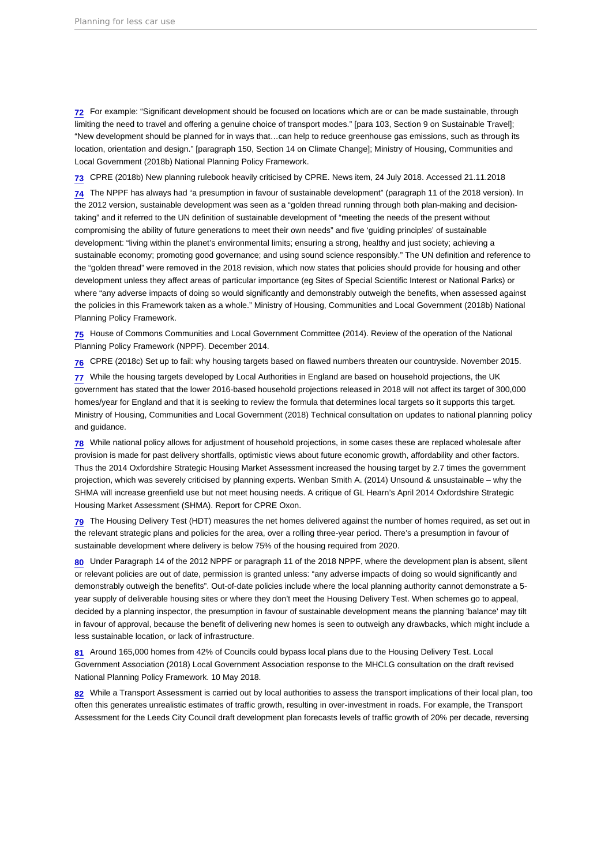<span id="page-18-0"></span>[72](#page-6-0) For example: "Significant development should be focused on locations which are or can be made sustainable, through limiting the need to travel and offering a genuine choice of transport modes." [para 103, Section 9 on Sustainable Travel]; "New development should be planned for in ways that…can help to reduce greenhouse gas emissions, such as through its location, orientation and design." [paragraph 150, Section 14 on Climate Change]; Ministry of Housing, Communities and Local Government (2018b) National Planning Policy Framework.

[73](#page-6-0) CPRE (2018b) New planning rulebook heavily criticised by CPRE. News item, 24 July 2018. Accessed 21.11.2018

[74](#page-6-0) The NPPF has always had "a presumption in favour of sustainable development" (paragraph 11 of the 2018 version). In the 2012 version, sustainable development was seen as a "golden thread running through both plan-making and decisiontaking" and it referred to the UN definition of sustainable development of "meeting the needs of the present without compromising the ability of future generations to meet their own needs" and five 'guiding principles' of sustainable development: "living within the planet's environmental limits; ensuring a strong, healthy and just society; achieving a sustainable economy; promoting good governance; and using sound science responsibly." The UN definition and reference to the "golden thread" were removed in the 2018 revision, which now states that policies should provide for housing and other development unless they affect areas of particular importance (eg Sites of Special Scientific Interest or National Parks) or where "any adverse impacts of doing so would significantly and demonstrably outweigh the benefits, when assessed against the policies in this Framework taken as a whole." Ministry of Housing, Communities and Local Government (2018b) National Planning Policy Framework.

[75](#page-6-0) House of Commons Communities and Local Government Committee (2014). Review of the operation of the National Planning Policy Framework (NPPF). December 2014.

[76](#page-6-0) CPRE (2018c) Set up to fail: why housing targets based on flawed numbers threaten our countryside. November 2015.

[77](#page-6-0) While the housing targets developed by Local Authorities in England are based on household projections, the UK government has stated that the lower 2016-based household projections released in 2018 will not affect its target of 300,000 homes/year for England and that it is seeking to review the formula that determines local targets so it supports this target. Ministry of Housing, Communities and Local Government (2018) Technical consultation on updates to national planning policy and guidance.

[78](#page-6-0) While national policy allows for adjustment of household projections, in some cases these are replaced wholesale after provision is made for past delivery shortfalls, optimistic views about future economic growth, affordability and other factors. Thus the 2014 Oxfordshire Strategic Housing Market Assessment increased the housing target by 2.7 times the government projection, which was severely criticised by planning experts. Wenban Smith A. (2014) Unsound & unsustainable – why the SHMA will increase greenfield use but not meet housing needs. A critique of GL Hearn's April 2014 Oxfordshire Strategic Housing Market Assessment (SHMA). Report for CPRE Oxon.

[79](#page-7-0) The Housing Delivery Test (HDT) measures the net homes delivered against the number of homes required, as set out in the relevant strategic plans and policies for the area, over a rolling three-year period. There's a presumption in favour of sustainable development where delivery is below 75% of the housing required from 2020.

[80](#page-7-0) Under Paragraph 14 of the 2012 NPPF or paragraph 11 of the 2018 NPPF, where the development plan is absent, silent or relevant policies are out of date, permission is granted unless: "any adverse impacts of doing so would significantly and demonstrably outweigh the benefits". Out-of-date policies include where the local planning authority cannot demonstrate a 5 year supply of deliverable housing sites or where they don't meet the Housing Delivery Test. When schemes go to appeal, decided by a planning inspector, the presumption in favour of sustainable development means the planning 'balance' may tilt in favour of approval, because the benefit of delivering new homes is seen to outweigh any drawbacks, which might include a less sustainable location, or lack of infrastructure.

[81](#page-7-0) Around 165,000 homes from 42% of Councils could bypass local plans due to the Housing Delivery Test. Local Government Association (2018) Local Government Association response to the MHCLG consultation on the draft revised National Planning Policy Framework. 10 May 2018.

[82](#page-7-0) While a Transport Assessment is carried out by local authorities to assess the transport implications of their local plan, too often this generates unrealistic estimates of traffic growth, resulting in over-investment in roads. For example, the Transport Assessment for the Leeds City Council draft development plan forecasts levels of traffic growth of 20% per decade, reversing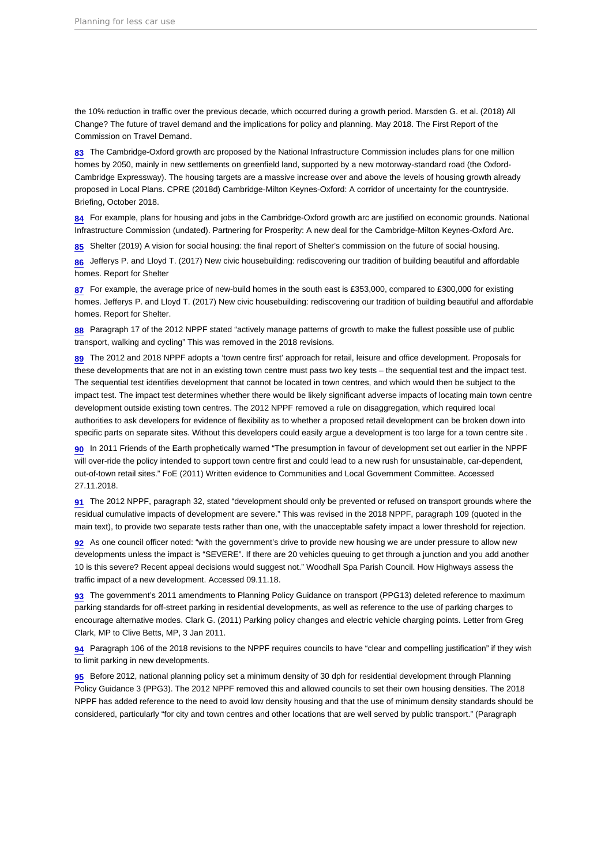<span id="page-19-0"></span>the 10% reduction in traffic over the previous decade, which occurred during a growth period. Marsden G. et al. (2018) All Change? The future of travel demand and the implications for policy and planning. May 2018. The First Report of the Commission on Travel Demand.

[83](#page-7-0) The Cambridge-Oxford growth arc proposed by the National Infrastructure Commission includes plans for one million homes by 2050, mainly in new settlements on greenfield land, supported by a new motorway-standard road (the Oxford-Cambridge Expressway). The housing targets are a massive increase over and above the levels of housing growth already proposed in Local Plans. CPRE (2018d) Cambridge-Milton Keynes-Oxford: A corridor of uncertainty for the countryside. Briefing, October 2018.

[84](#page-7-0) For example, plans for housing and jobs in the Cambridge-Oxford growth arc are justified on economic grounds. National Infrastructure Commission (undated). Partnering for Prosperity: A new deal for the Cambridge-Milton Keynes-Oxford Arc.

[85](#page-7-0) Shelter (2019) A vision for social housing: the final report of Shelter's commission on the future of social housing.

[86](#page-7-0) Jefferys P. and Lloyd T. (2017) New civic housebuilding: rediscovering our tradition of building beautiful and affordable homes. Report for Shelter

[87](#page-7-0) For example, the average price of new-build homes in the south east is £353,000, compared to £300,000 for existing homes. Jefferys P. and Lloyd T. (2017) New civic housebuilding: rediscovering our tradition of building beautiful and affordable homes. Report for Shelter.

[88](#page-7-0) Paragraph 17 of the 2012 NPPF stated "actively manage patterns of growth to make the fullest possible use of public transport, walking and cycling" This was removed in the 2018 revisions.

[89](#page-7-0) The 2012 and 2018 NPPF adopts a 'town centre first' approach for retail, leisure and office development. Proposals for these developments that are not in an existing town centre must pass two key tests – the sequential test and the impact test. The sequential test identifies development that cannot be located in town centres, and which would then be subject to the impact test. The impact test determines whether there would be likely significant adverse impacts of locating main town centre development outside existing town centres. The 2012 NPPF removed a rule on disaggregation, which required local authorities to ask developers for evidence of flexibility as to whether a proposed retail development can be broken down into specific parts on separate sites. Without this developers could easily argue a development is too large for a town centre site .

[90](#page-7-0) In 2011 Friends of the Earth prophetically warned "The presumption in favour of development set out earlier in the NPPF will over-ride the policy intended to support town centre first and could lead to a new rush for unsustainable, car-dependent, out-of-town retail sites." FoE (2011) Written evidence to Communities and Local Government Committee. Accessed 27.11.2018.

[91](#page-7-0) The 2012 NPPF, paragraph 32, stated "development should only be prevented or refused on transport grounds where the residual cumulative impacts of development are severe." This was revised in the 2018 NPPF, paragraph 109 (quoted in the main text), to provide two separate tests rather than one, with the unacceptable safety impact a lower threshold for rejection.

[92](#page-7-0) As one council officer noted: "with the government's drive to provide new housing we are under pressure to allow new developments unless the impact is "SEVERE". If there are 20 vehicles queuing to get through a junction and you add another 10 is this severe? Recent appeal decisions would suggest not." Woodhall Spa Parish Council. How Highways assess the traffic impact of a new development. Accessed 09.11.18.

[93](#page-7-0) The government's 2011 amendments to Planning Policy Guidance on transport (PPG13) deleted reference to maximum parking standards for off-street parking in residential developments, as well as reference to the use of parking charges to encourage alternative modes. Clark G. (2011) Parking policy changes and electric vehicle charging points. Letter from Greg Clark, MP to Clive Betts, MP, 3 Jan 2011.

[94](#page-7-0) Paragraph 106 of the 2018 revisions to the NPPF requires councils to have "clear and compelling justification" if they wish to limit parking in new developments.

[95](#page-7-0) Before 2012, national planning policy set a minimum density of 30 dph for residential development through Planning Policy Guidance 3 (PPG3). The 2012 NPPF removed this and allowed councils to set their own housing densities. The 2018 NPPF has added reference to the need to avoid low density housing and that the use of minimum density standards should be considered, particularly "for city and town centres and other locations that are well served by public transport." (Paragraph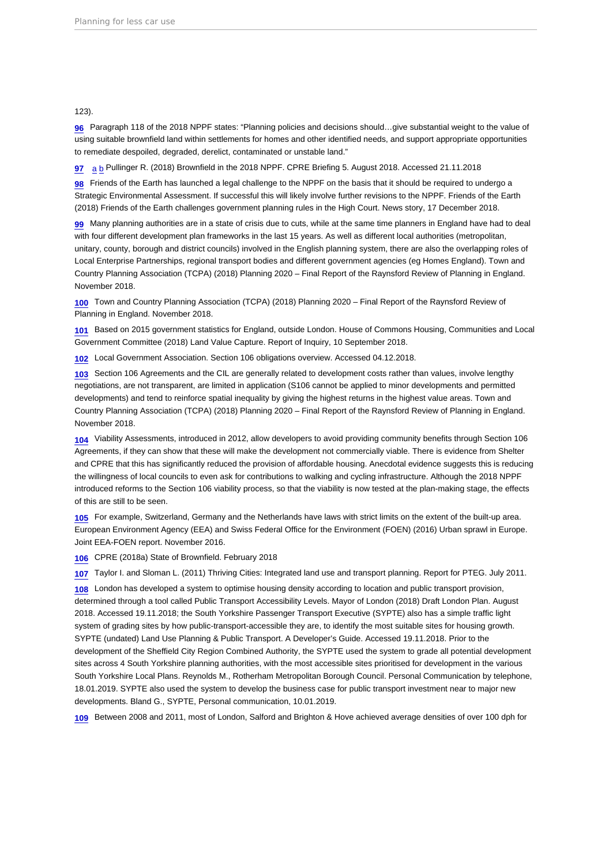#### <span id="page-20-0"></span>123).

[96](#page-7-0) Paragraph 118 of the 2018 NPPF states: "Planning policies and decisions should…give substantial weight to the value of using suitable brownfield land within settlements for homes and other identified needs, and support appropriate opportunities to remediate despoiled, degraded, derelict, contaminated or unstable land."

[97](#page-8-0) [a](#page-8-0) [b](#page-9-0) Pullinger R. (2018) Brownfield in the 2018 NPPF. CPRE Briefing 5. August 2018. Accessed 21.11.2018

[98](#page-8-0) Friends of the Earth has launched a legal challenge to the NPPF on the basis that it should be required to undergo a Strategic Environmental Assessment. If successful this will likely involve further revisions to the NPPF. Friends of the Earth (2018) Friends of the Earth challenges government planning rules in the High Court. News story, 17 December 2018.

[99](#page-8-0) Many planning authorities are in a state of crisis due to cuts, while at the same time planners in England have had to deal with four different development plan frameworks in the last 15 years. As well as different local authorities (metropolitan, unitary, county, borough and district councils) involved in the English planning system, there are also the overlapping roles of Local Enterprise Partnerships, regional transport bodies and different government agencies (eg Homes England). Town and Country Planning Association (TCPA) (2018) Planning 2020 – Final Report of the Raynsford Review of Planning in England. November 2018.

[100](#page-8-0) Town and Country Planning Association (TCPA) (2018) Planning 2020 – Final Report of the Raynsford Review of Planning in England. November 2018.

[101](#page-8-0) Based on 2015 government statistics for England, outside London. House of Commons Housing, Communities and Local Government Committee (2018) Land Value Capture. Report of Inquiry, 10 September 2018.

[102](#page-8-0) Local Government Association. Section 106 obligations overview. Accessed 04.12.2018.

[103](#page-8-0) Section 106 Agreements and the CIL are generally related to development costs rather than values, involve lengthy negotiations, are not transparent, are limited in application (S106 cannot be applied to minor developments and permitted developments) and tend to reinforce spatial inequality by giving the highest returns in the highest value areas. Town and Country Planning Association (TCPA) (2018) Planning 2020 – Final Report of the Raynsford Review of Planning in England. November 2018.

[104](#page-8-0) Viability Assessments, introduced in 2012, allow developers to avoid providing community benefits through Section 106 Agreements, if they can show that these will make the development not commercially viable. There is evidence from Shelter and CPRE that this has significantly reduced the provision of affordable housing. Anecdotal evidence suggests this is reducing the willingness of local councils to even ask for contributions to walking and cycling infrastructure. Although the 2018 NPPF introduced reforms to the Section 106 viability process, so that the viability is now tested at the plan-making stage, the effects of this are still to be seen.

[105](#page-8-0) For example, Switzerland, Germany and the Netherlands have laws with strict limits on the extent of the built-up area. European Environment Agency (EEA) and Swiss Federal Office for the Environment (FOEN) (2016) Urban sprawl in Europe. Joint EEA-FOEN report. November 2016.

[106](#page-9-0) CPRE (2018a) State of Brownfield. February 2018

[107](#page-9-0) Taylor I. and Sloman L. (2011) Thriving Cities: Integrated land use and transport planning. Report for PTEG. July 2011.

[108](#page-9-0) London has developed a system to optimise housing density according to location and public transport provision, determined through a tool called Public Transport Accessibility Levels. Mayor of London (2018) Draft London Plan. August 2018. Accessed 19.11.2018; the South Yorkshire Passenger Transport Executive (SYPTE) also has a simple traffic light system of grading sites by how public-transport-accessible they are, to identify the most suitable sites for housing growth. SYPTE (undated) Land Use Planning & Public Transport. A Developer's Guide. Accessed 19.11.2018. Prior to the development of the Sheffield City Region Combined Authority, the SYPTE used the system to grade all potential development sites across 4 South Yorkshire planning authorities, with the most accessible sites prioritised for development in the various South Yorkshire Local Plans. Reynolds M., Rotherham Metropolitan Borough Council. Personal Communication by telephone, 18.01.2019. SYPTE also used the system to develop the business case for public transport investment near to major new developments. Bland G., SYPTE, Personal communication, 10.01.2019.

[109](#page-9-0) Between 2008 and 2011, most of London, Salford and Brighton & Hove achieved average densities of over 100 dph for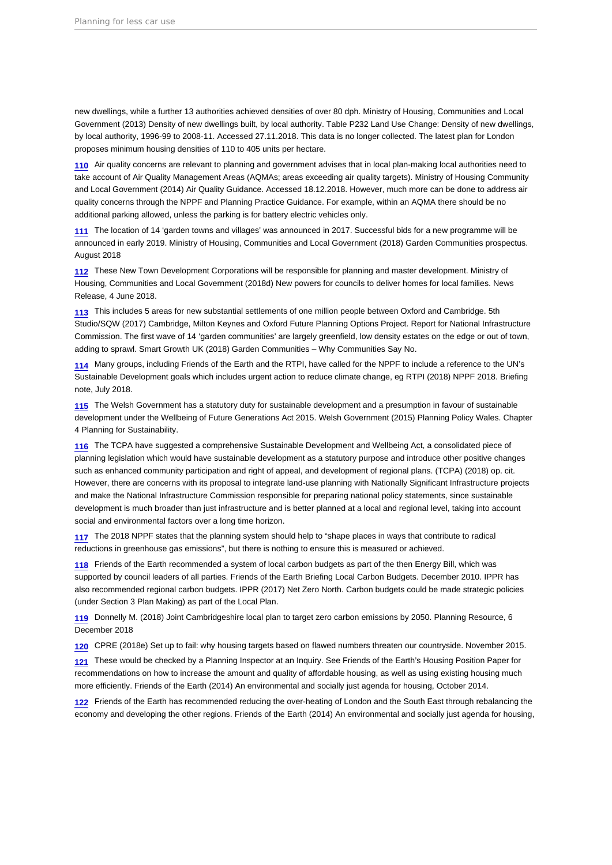<span id="page-21-0"></span>new dwellings, while a further 13 authorities achieved densities of over 80 dph. Ministry of Housing, Communities and Local Government (2013) Density of new dwellings built, by local authority. Table P232 Land Use Change: Density of new dwellings, by local authority, 1996-99 to 2008-11. Accessed 27.11.2018. This data is no longer collected. The latest plan for London proposes minimum housing densities of 110 to 405 units per hectare.

[110](#page-9-0) Air quality concerns are relevant to planning and government advises that in local plan-making local authorities need to take account of Air Quality Management Areas (AQMAs; areas exceeding air quality targets). Ministry of Housing Community and Local Government (2014) Air Quality Guidance. Accessed 18.12.2018. However, much more can be done to address air quality concerns through the NPPF and Planning Practice Guidance. For example, within an AQMA there should be no additional parking allowed, unless the parking is for battery electric vehicles only.

[111](#page-9-0) The location of 14 'garden towns and villages' was announced in 2017. Successful bids for a new programme will be announced in early 2019. Ministry of Housing, Communities and Local Government (2018) Garden Communities prospectus. August 2018

[112](#page-9-0) These New Town Development Corporations will be responsible for planning and master development. Ministry of Housing, Communities and Local Government (2018d) New powers for councils to deliver homes for local families. News Release, 4 June 2018.

[113](#page-9-0) This includes 5 areas for new substantial settlements of one million people between Oxford and Cambridge. 5th Studio/SQW (2017) Cambridge, Milton Keynes and Oxford Future Planning Options Project. Report for National Infrastructure Commission. The first wave of 14 'garden communities' are largely greenfield, low density estates on the edge or out of town, adding to sprawl. Smart Growth UK (2018) Garden Communities – Why Communities Say No.

[114](#page-9-0) Many groups, including Friends of the Earth and the RTPI, have called for the NPPF to include a reference to the UN's Sustainable Development goals which includes urgent action to reduce climate change, eg RTPI (2018) NPPF 2018. Briefing note, July 2018.

[115](#page-9-0) The Welsh Government has a statutory duty for sustainable development and a presumption in favour of sustainable development under the Wellbeing of Future Generations Act 2015. Welsh Government (2015) Planning Policy Wales. Chapter 4 Planning for Sustainability.

[116](#page-10-0) The TCPA have suggested a comprehensive Sustainable Development and Wellbeing Act, a consolidated piece of planning legislation which would have sustainable development as a statutory purpose and introduce other positive changes such as enhanced community participation and right of appeal, and development of regional plans. (TCPA) (2018) op. cit. However, there are concerns with its proposal to integrate land-use planning with Nationally Significant Infrastructure projects and make the National Infrastructure Commission responsible for preparing national policy statements, since sustainable development is much broader than just infrastructure and is better planned at a local and regional level, taking into account social and environmental factors over a long time horizon.

[117](#page-10-0) The 2018 NPPF states that the planning system should help to "shape places in ways that contribute to radical reductions in greenhouse gas emissions", but there is nothing to ensure this is measured or achieved.

[118](#page-10-0) Friends of the Earth recommended a system of local carbon budgets as part of the then Energy Bill, which was supported by council leaders of all parties. Friends of the Earth Briefing Local Carbon Budgets. December 2010. IPPR has also recommended regional carbon budgets. IPPR (2017) Net Zero North. Carbon budgets could be made strategic policies (under Section 3 Plan Making) as part of the Local Plan.

[119](#page-10-0) Donnelly M. (2018) Joint Cambridgeshire local plan to target zero carbon emissions by 2050. Planning Resource, 6 December 2018

[120](#page-10-0) CPRE (2018e) Set up to fail: why housing targets based on flawed numbers threaten our countryside. November 2015.

[121](#page-10-0) These would be checked by a Planning Inspector at an Inquiry. See Friends of the Earth's Housing Position Paper for recommendations on how to increase the amount and quality of affordable housing, as well as using existing housing much more efficiently. Friends of the Earth (2014) An environmental and socially just agenda for housing, October 2014.

[122](#page-10-0) Friends of the Earth has recommended reducing the over-heating of London and the South East through rebalancing the economy and developing the other regions. Friends of the Earth (2014) An environmental and socially just agenda for housing,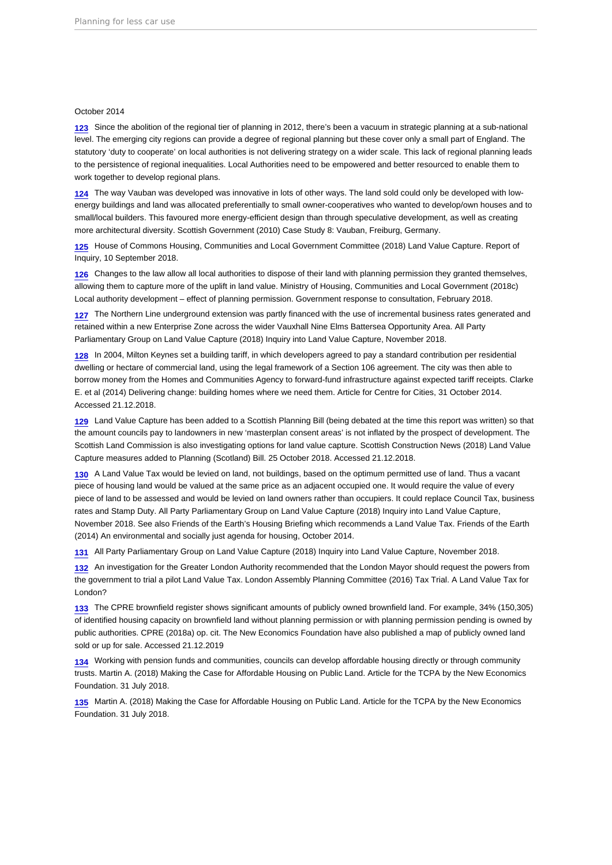#### <span id="page-22-0"></span>October 2014

[123](#page-10-0) Since the abolition of the regional tier of planning in 2012, there's been a vacuum in strategic planning at a sub-national level. The emerging city regions can provide a degree of regional planning but these cover only a small part of England. The statutory 'duty to cooperate' on local authorities is not delivering strategy on a wider scale. This lack of regional planning leads to the persistence of regional inequalities. Local Authorities need to be empowered and better resourced to enable them to work together to develop regional plans.

[124](#page-10-0) The way Vauban was developed was innovative in lots of other ways. The land sold could only be developed with lowenergy buildings and land was allocated preferentially to small owner-cooperatives who wanted to develop/own houses and to small/local builders. This favoured more energy-efficient design than through speculative development, as well as creating more architectural diversity. Scottish Government (2010) Case Study 8: Vauban, Freiburg, Germany.

[125](#page-10-0) House of Commons Housing, Communities and Local Government Committee (2018) Land Value Capture. Report of Inquiry, 10 September 2018.

[126](#page-10-0) Changes to the law allow all local authorities to dispose of their land with planning permission they granted themselves, allowing them to capture more of the uplift in land value. Ministry of Housing, Communities and Local Government (2018c) Local authority development – effect of planning permission. Government response to consultation, February 2018.

[127](#page-10-0) The Northern Line underground extension was partly financed with the use of incremental business rates generated and retained within a new Enterprise Zone across the wider Vauxhall Nine Elms Battersea Opportunity Area. All Party Parliamentary Group on Land Value Capture (2018) Inquiry into Land Value Capture, November 2018.

[128](#page-10-0) In 2004, Milton Keynes set a building tariff, in which developers agreed to pay a standard contribution per residential dwelling or hectare of commercial land, using the legal framework of a Section 106 agreement. The city was then able to borrow money from the Homes and Communities Agency to forward-fund infrastructure against expected tariff receipts. Clarke E. et al (2014) Delivering change: building homes where we need them. Article for Centre for Cities, 31 October 2014. Accessed 21.12.2018.

[129](#page-10-0) Land Value Capture has been added to a Scottish Planning Bill (being debated at the time this report was written) so that the amount councils pay to landowners in new 'masterplan consent areas' is not inflated by the prospect of development. The Scottish Land Commission is also investigating options for land value capture. Scottish Construction News (2018) Land Value Capture measures added to Planning (Scotland) Bill. 25 October 2018. Accessed 21.12.2018.

[130](#page-10-0) A Land Value Tax would be levied on land, not buildings, based on the optimum permitted use of land. Thus a vacant piece of housing land would be valued at the same price as an adjacent occupied one. It would require the value of every piece of land to be assessed and would be levied on land owners rather than occupiers. It could replace Council Tax, business rates and Stamp Duty. All Party Parliamentary Group on Land Value Capture (2018) Inquiry into Land Value Capture, November 2018. See also Friends of the Earth's Housing Briefing which recommends a Land Value Tax. Friends of the Earth (2014) An environmental and socially just agenda for housing, October 2014.

[131](#page-10-0) All Party Parliamentary Group on Land Value Capture (2018) Inquiry into Land Value Capture, November 2018.

[132](#page-10-0) An investigation for the Greater London Authority recommended that the London Mayor should request the powers from the government to trial a pilot Land Value Tax. London Assembly Planning Committee (2016) Tax Trial. A Land Value Tax for London?

[133](#page-10-0) The CPRE brownfield register shows significant amounts of publicly owned brownfield land. For example, 34% (150,305) of identified housing capacity on brownfield land without planning permission or with planning permission pending is owned by public authorities. CPRE (2018a) op. cit. The New Economics Foundation have also published a map of publicly owned land sold or up for sale. Accessed 21.12.2019

[134](#page-10-0) Working with pension funds and communities, councils can develop affordable housing directly or through community trusts. Martin A. (2018) Making the Case for Affordable Housing on Public Land. Article for the TCPA by the New Economics Foundation. 31 July 2018.

[135](#page-10-0) Martin A. (2018) Making the Case for Affordable Housing on Public Land. Article for the TCPA by the New Economics Foundation. 31 July 2018.